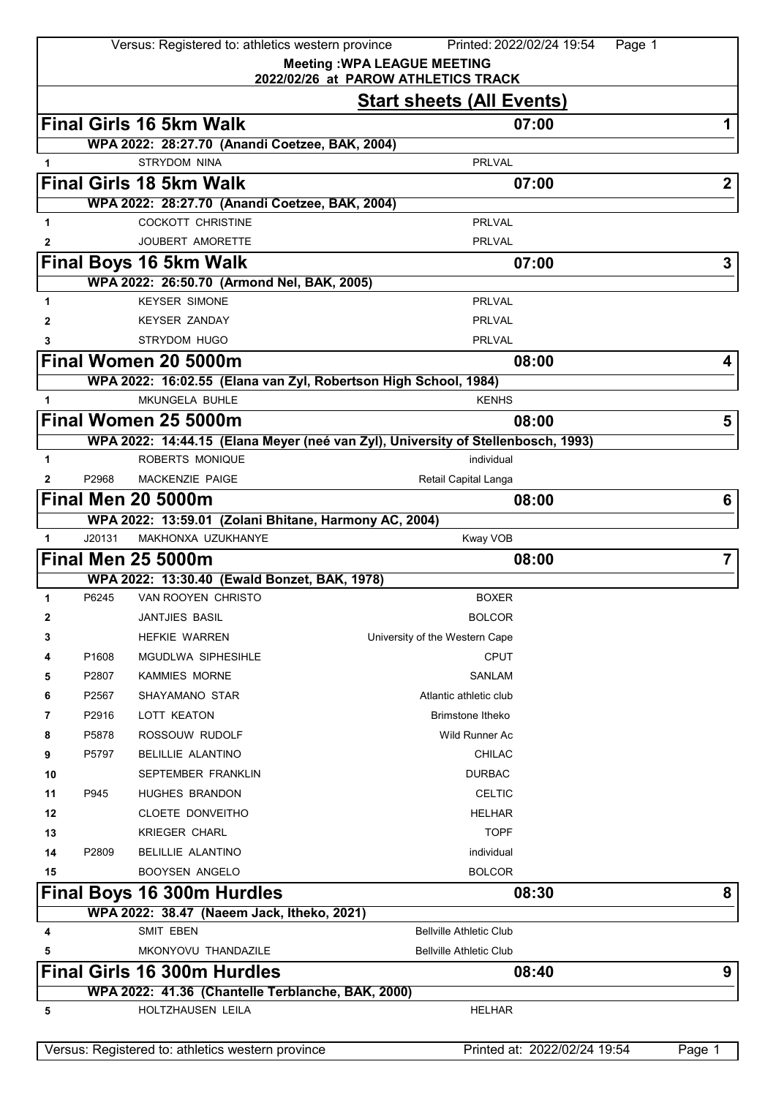|              |        | Versus: Registered to: athletics western province               | Printed: 2022/02/24 19:54                                                        | Page 1         |
|--------------|--------|-----------------------------------------------------------------|----------------------------------------------------------------------------------|----------------|
|              |        |                                                                 | <b>Meeting: WPA LEAGUE MEETING</b>                                               |                |
|              |        |                                                                 | 2022/02/26 at PAROW ATHLETICS TRACK                                              |                |
|              |        |                                                                 | <b>Start sheets (All Events)</b>                                                 |                |
|              |        | <b>Final Girls 16 5km Walk</b>                                  | 07:00                                                                            | 1              |
|              |        | WPA 2022: 28:27.70 (Anandi Coetzee, BAK, 2004)                  |                                                                                  |                |
| 1            |        | <b>STRYDOM NINA</b>                                             | <b>PRLVAL</b>                                                                    |                |
|              |        | <b>Final Girls 18 5km Walk</b>                                  | 07:00                                                                            | $\mathbf{2}$   |
|              |        | WPA 2022: 28:27.70 (Anandi Coetzee, BAK, 2004)                  |                                                                                  |                |
| 1            |        | <b>COCKOTT CHRISTINE</b>                                        | <b>PRLVAL</b>                                                                    |                |
| 2            |        | JOUBERT AMORETTE                                                | <b>PRLVAL</b>                                                                    |                |
|              |        | <b>Final Boys 16 5km Walk</b>                                   | 07:00                                                                            | 3              |
|              |        | WPA 2022: 26:50.70 (Armond Nel, BAK, 2005)                      |                                                                                  |                |
| 1            |        | <b>KEYSER SIMONE</b>                                            | <b>PRLVAL</b>                                                                    |                |
| 2            |        | <b>KEYSER ZANDAY</b>                                            | <b>PRLVAL</b>                                                                    |                |
|              |        | STRYDOM HUGO                                                    | <b>PRLVAL</b>                                                                    |                |
|              |        | Final Women 20 5000m                                            | 08:00                                                                            | 4              |
|              |        | WPA 2022: 16:02.55 (Elana van Zyl, Robertson High School, 1984) |                                                                                  |                |
| 1            |        | MKUNGELA BUHLE                                                  | <b>KENHS</b>                                                                     |                |
|              |        | Final Women 25 5000m                                            | 08:00                                                                            | 5              |
|              |        |                                                                 | WPA 2022: 14:44.15 (Elana Meyer (neé van Zyl), University of Stellenbosch, 1993) |                |
| 1            |        | ROBERTS MONIQUE                                                 | individual                                                                       |                |
| 2            | P2968  | <b>MACKENZIE PAIGE</b>                                          | Retail Capital Langa                                                             |                |
|              |        | <b>Final Men 20 5000m</b>                                       | 08:00                                                                            | 6              |
|              |        | WPA 2022: 13:59.01 (Zolani Bhitane, Harmony AC, 2004)           |                                                                                  |                |
| $\mathbf{1}$ | J20131 | MAKHONXA UZUKHANYE                                              | Kway VOB                                                                         |                |
|              |        |                                                                 |                                                                                  |                |
|              |        | <b>Final Men 25 5000m</b>                                       | 08:00                                                                            | $\overline{7}$ |
|              |        | WPA 2022: 13:30.40 (Ewald Bonzet, BAK, 1978)                    |                                                                                  |                |
| 1            | P6245  | VAN ROOYEN CHRISTO                                              | <b>BOXER</b>                                                                     |                |
|              |        | JANTJIES BASIL                                                  | <b>BOLCOR</b>                                                                    |                |
| 3            |        | <b>HEFKIE WARREN</b>                                            | University of the Western Cape                                                   |                |
| 4            | P1608  | MGUDLWA SIPHESIHLE                                              | <b>CPUT</b>                                                                      |                |
| 5            | P2807  | <b>KAMMIES MORNE</b>                                            | SANLAM                                                                           |                |
| 6            | P2567  | SHAYAMANO STAR                                                  | Atlantic athletic club                                                           |                |
| 7            | P2916  | LOTT KEATON                                                     | <b>Brimstone Itheko</b>                                                          |                |
| 8            | P5878  | ROSSOUW RUDOLF                                                  | Wild Runner Ac                                                                   |                |
| 9            | P5797  | <b>BELILLIE ALANTINO</b>                                        | <b>CHILAC</b>                                                                    |                |
| 10           |        | SEPTEMBER FRANKLIN                                              | <b>DURBAC</b>                                                                    |                |
| 11           | P945   | <b>HUGHES BRANDON</b>                                           | <b>CELTIC</b>                                                                    |                |
| 12           |        | CLOETE DONVEITHO                                                | <b>HELHAR</b>                                                                    |                |
| 13           |        | <b>KRIEGER CHARL</b>                                            | <b>TOPF</b>                                                                      |                |
| 14           | P2809  | <b>BELILLIE ALANTINO</b>                                        | individual                                                                       |                |
| 15           |        | <b>BOOYSEN ANGELO</b>                                           | <b>BOLCOR</b>                                                                    |                |
|              |        | <b>Final Boys 16 300m Hurdles</b>                               | 08:30                                                                            | 8              |
|              |        | WPA 2022: 38.47 (Naeem Jack, Itheko, 2021)                      |                                                                                  |                |
| 4            |        | <b>SMIT EBEN</b>                                                | <b>Bellville Athletic Club</b>                                                   |                |
| 5            |        | MKONYOVU THANDAZILE                                             | <b>Bellville Athletic Club</b>                                                   |                |
|              |        | <b>Final Girls 16 300m Hurdles</b>                              | 08:40                                                                            | 9              |
|              |        | WPA 2022: 41.36 (Chantelle Terblanche, BAK, 2000)               |                                                                                  |                |
| 5            |        | HOLTZHAUSEN LEILA                                               | <b>HELHAR</b>                                                                    |                |
|              |        |                                                                 |                                                                                  |                |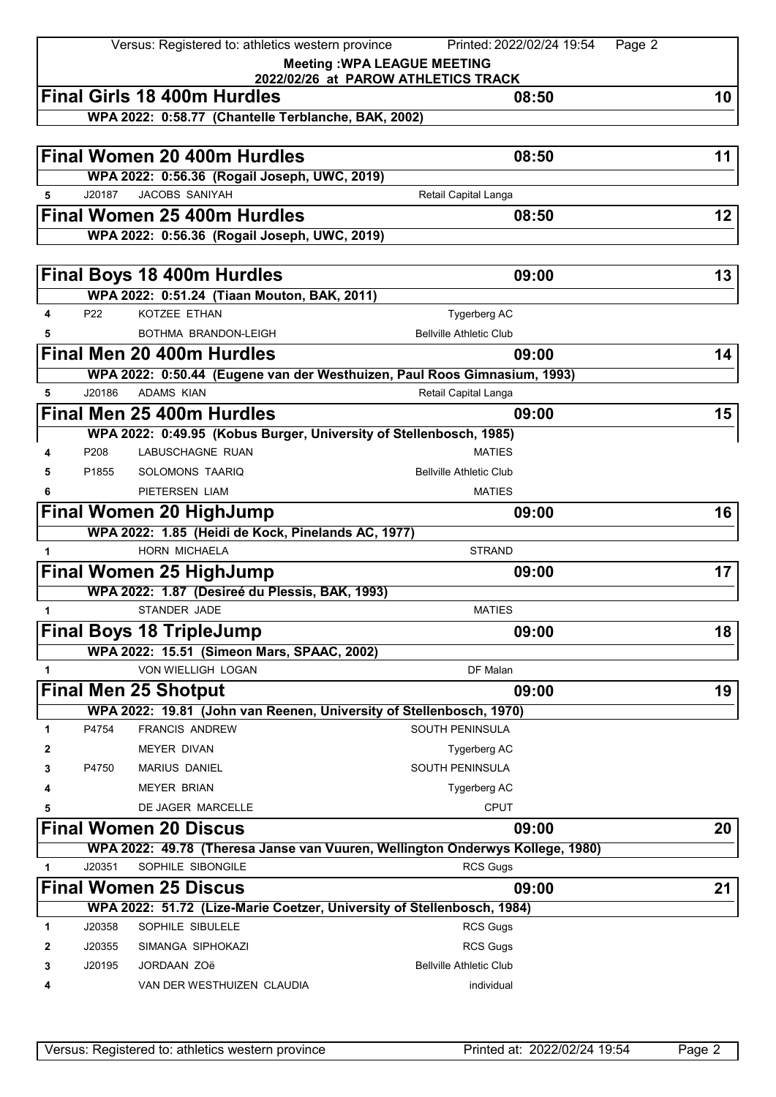|              |        | Versus: Registered to: athletics western province                                            | Printed: 2022/02/24 19:54<br>Page 2          |    |
|--------------|--------|----------------------------------------------------------------------------------------------|----------------------------------------------|----|
|              |        |                                                                                              | <b>Meeting: WPA LEAGUE MEETING</b>           |    |
|              |        | <b>Final Girls 18 400m Hurdles</b>                                                           | 2022/02/26 at PAROW ATHLETICS TRACK<br>08:50 | 10 |
|              |        | WPA 2022: 0:58.77 (Chantelle Terblanche, BAK, 2002)                                          |                                              |    |
|              |        |                                                                                              |                                              |    |
|              |        | <b>Final Women 20 400m Hurdles</b>                                                           | 08:50                                        | 11 |
|              |        | WPA 2022: 0:56.36 (Rogail Joseph, UWC, 2019)                                                 |                                              |    |
| 5            | J20187 | JACOBS SANIYAH                                                                               | Retail Capital Langa                         |    |
|              |        | Final Women 25 400m Hurdles                                                                  | 08:50                                        | 12 |
|              |        | WPA 2022: 0:56.36 (Rogail Joseph, UWC, 2019)                                                 |                                              |    |
|              |        |                                                                                              |                                              |    |
|              |        | <b>Final Boys 18 400m Hurdles</b>                                                            | 09:00                                        | 13 |
|              |        | WPA 2022: 0:51.24 (Tiaan Mouton, BAK, 2011)                                                  |                                              |    |
| 4            | P22    | KOTZEE ETHAN                                                                                 | <b>Tygerberg AC</b>                          |    |
| 5            |        | BOTHMA BRANDON-LEIGH                                                                         | <b>Bellville Athletic Club</b>               |    |
|              |        | Final Men 20 400m Hurdles                                                                    | 09:00                                        | 14 |
|              |        | WPA 2022: 0:50.44 (Eugene van der Westhuizen, Paul Roos Gimnasium, 1993)                     |                                              |    |
| 5            | J20186 | <b>ADAMS KIAN</b>                                                                            | Retail Capital Langa                         |    |
|              |        | Final Men 25 400m Hurdles                                                                    | 09:00                                        | 15 |
|              |        | WPA 2022: 0:49.95 (Kobus Burger, University of Stellenbosch, 1985)                           |                                              |    |
| 4            | P208   | LABUSCHAGNE RUAN                                                                             | <b>MATIES</b>                                |    |
| 5            | P1855  | SOLOMONS TAARIQ                                                                              | <b>Bellville Athletic Club</b>               |    |
| 6            |        | PIETERSEN LIAM                                                                               | <b>MATIES</b>                                |    |
|              |        | Final Women 20 HighJump                                                                      | 09:00                                        | 16 |
|              |        | WPA 2022: 1.85 (Heidi de Kock, Pinelands AC, 1977)                                           |                                              |    |
| $\mathbf{1}$ |        | <b>HORN MICHAELA</b>                                                                         | <b>STRAND</b>                                |    |
|              |        | <b>Final Women 25 HighJump</b>                                                               | 09:00                                        | 17 |
|              |        | WPA 2022: 1.87 (Desireé du Plessis, BAK, 1993)                                               |                                              |    |
| 1            |        | STANDER JADE                                                                                 | <b>MATIES</b>                                |    |
|              |        | <b>Final Boys 18 TripleJump</b>                                                              | 09:00                                        | 18 |
|              |        | WPA 2022: 15.51 (Simeon Mars, SPAAC, 2002)<br>VON WIELLIGH LOGAN                             | DF Malan                                     |    |
| 1            |        |                                                                                              |                                              |    |
|              |        | <b>Final Men 25 Shotput</b>                                                                  | 09:00                                        | 19 |
|              | P4754  | WPA 2022: 19.81 (John van Reenen, University of Stellenbosch, 1970)<br><b>FRANCIS ANDREW</b> | <b>SOUTH PENINSULA</b>                       |    |
| 1<br>2       |        | <b>MEYER DIVAN</b>                                                                           | Tygerberg AC                                 |    |
| 3            | P4750  | <b>MARIUS DANIEL</b>                                                                         | <b>SOUTH PENINSULA</b>                       |    |
| 4            |        | <b>MEYER BRIAN</b>                                                                           | <b>Tygerberg AC</b>                          |    |
| 5            |        | DE JAGER MARCELLE                                                                            | <b>CPUT</b>                                  |    |
|              |        | <b>Final Women 20 Discus</b>                                                                 | 09:00                                        | 20 |
|              |        | WPA 2022: 49.78 (Theresa Janse van Vuuren, Wellington Onderwys Kollege, 1980)                |                                              |    |
| 1            | J20351 | SOPHILE SIBONGILE                                                                            | <b>RCS Gugs</b>                              |    |
|              |        | <b>Final Women 25 Discus</b>                                                                 | 09:00                                        | 21 |
|              |        | WPA 2022: 51.72 (Lize-Marie Coetzer, University of Stellenbosch, 1984)                       |                                              |    |
| 1            | J20358 | SOPHILE SIBULELE                                                                             | <b>RCS Gugs</b>                              |    |
| 2            | J20355 | SIMANGA SIPHOKAZI                                                                            | <b>RCS Gugs</b>                              |    |
| 3            | J20195 | <b>JORDAAN ZOë</b>                                                                           | <b>Bellville Athletic Club</b>               |    |
| 4            |        | VAN DER WESTHUIZEN CLAUDIA                                                                   | individual                                   |    |
|              |        |                                                                                              |                                              |    |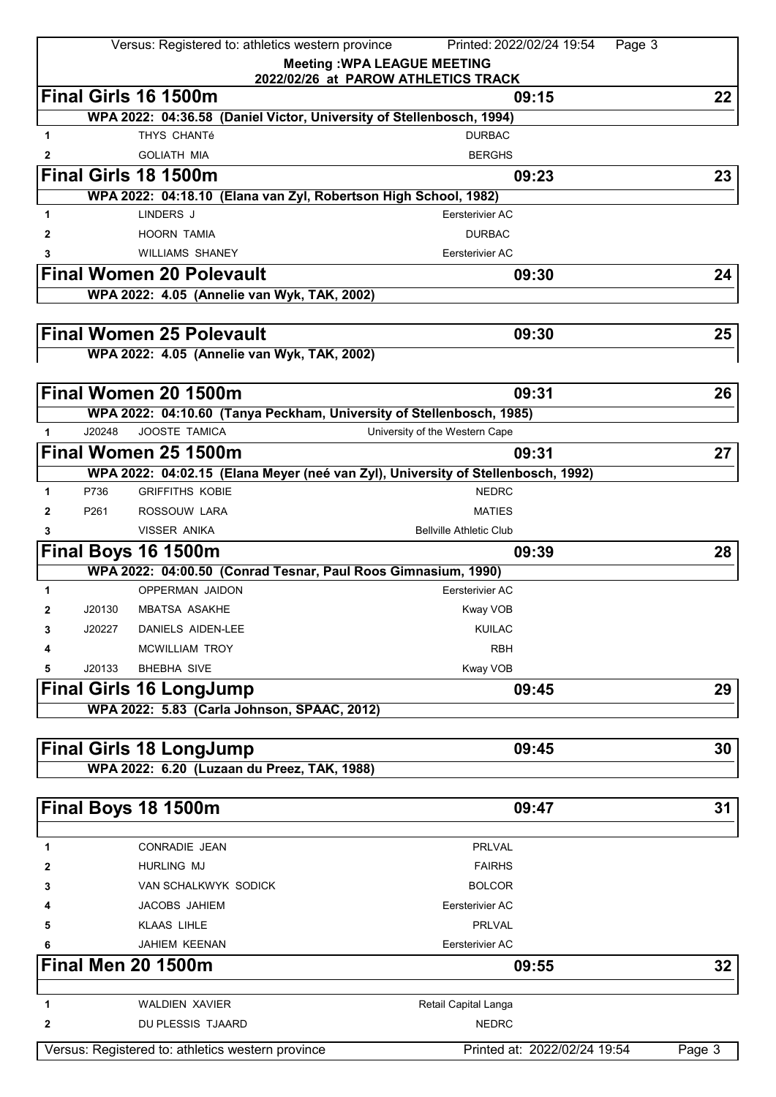|              |        | Versus: Registered to: athletics western province               | Printed: 2022/02/24 19:54                                                        | Page 3          |
|--------------|--------|-----------------------------------------------------------------|----------------------------------------------------------------------------------|-----------------|
|              |        |                                                                 | <b>Meeting: WPA LEAGUE MEETING</b>                                               |                 |
|              |        |                                                                 | 2022/02/26 at PAROW ATHLETICS TRACK                                              |                 |
|              |        | Final Girls 16 1500m                                            | 09:15                                                                            | 22              |
|              |        |                                                                 | WPA 2022: 04:36.58 (Daniel Victor, University of Stellenbosch, 1994)             |                 |
| 1            |        | THYS CHANTé                                                     | <b>DURBAC</b>                                                                    |                 |
| 2            |        | <b>GOLIATH MIA</b>                                              | <b>BERGHS</b>                                                                    |                 |
|              |        | Final Girls 18 1500m                                            | 09:23                                                                            | 23              |
|              |        | WPA 2022: 04:18.10 (Elana van Zyl, Robertson High School, 1982) |                                                                                  |                 |
| 1            |        | LINDERS J                                                       | Eersterivier AC                                                                  |                 |
| 2            |        | <b>HOORN TAMIA</b>                                              | DURBAC                                                                           |                 |
| 3            |        | <b>WILLIAMS SHANEY</b>                                          | Eersterivier AC                                                                  |                 |
|              |        | <b>Final Women 20 Polevault</b>                                 | 09:30                                                                            | 24              |
|              |        | WPA 2022: 4.05 (Annelie van Wyk, TAK, 2002)                     |                                                                                  |                 |
|              |        |                                                                 |                                                                                  |                 |
|              |        | <b>Final Women 25 Polevault</b>                                 | 09:30                                                                            | 25              |
|              |        | WPA 2022: 4.05 (Annelie van Wyk, TAK, 2002)                     |                                                                                  |                 |
|              |        |                                                                 |                                                                                  |                 |
|              |        | Final Women 20 1500m                                            | 09:31                                                                            | 26              |
|              |        |                                                                 | WPA 2022: 04:10.60 (Tanya Peckham, University of Stellenbosch, 1985)             |                 |
| 1            | J20248 | JOOSTE TAMICA                                                   | University of the Western Cape                                                   |                 |
|              |        | Final Women 25 1500m                                            | 09:31                                                                            | 27              |
|              |        |                                                                 | WPA 2022: 04:02.15 (Elana Meyer (neé van Zyl), University of Stellenbosch, 1992) |                 |
| 1            | P736   | <b>GRIFFITHS KOBIE</b>                                          | <b>NEDRC</b>                                                                     |                 |
| $\mathbf{2}$ | P261   | ROSSOUW LARA                                                    | <b>MATIES</b>                                                                    |                 |
| 3            |        | VISSER ANIKA                                                    | <b>Bellville Athletic Club</b>                                                   |                 |
|              |        | Final Boys 16 1500m                                             | 09:39                                                                            | 28              |
|              |        | WPA 2022: 04:00.50 (Conrad Tesnar, Paul Roos Gimnasium, 1990)   |                                                                                  |                 |
| 1            |        | <b>OPPERMAN JAIDON</b>                                          | Eersterivier AC                                                                  |                 |
| 2            | J20130 | <b>MBATSA ASAKHE</b>                                            | Kway VOB                                                                         |                 |
| 3            | J20227 | DANIELS AIDEN-LEE                                               | KUILAC                                                                           |                 |
|              |        | <b>MCWILLIAM TROY</b>                                           | <b>RBH</b>                                                                       |                 |
| 5            | J20133 | <b>BHEBHA SIVE</b>                                              | Kway VOB                                                                         |                 |
|              |        |                                                                 | 09:45                                                                            | 29              |
|              |        | <b>Final Girls 16 LongJump</b>                                  |                                                                                  |                 |
|              |        | WPA 2022: 5.83 (Carla Johnson, SPAAC, 2012)                     |                                                                                  |                 |
|              |        |                                                                 |                                                                                  |                 |
|              |        | <b>Final Girls 18 LongJump</b>                                  | 09:45                                                                            | 30              |
|              |        | WPA 2022: 6.20 (Luzaan du Preez, TAK, 1988)                     |                                                                                  |                 |
|              |        |                                                                 |                                                                                  |                 |
|              |        | Final Boys 18 1500m                                             | 09:47                                                                            | 31              |
| 1            |        | <b>CONRADIE JEAN</b>                                            | PRLVAL                                                                           |                 |
|              |        |                                                                 |                                                                                  |                 |
| 2            |        | <b>HURLING MJ</b>                                               | <b>FAIRHS</b>                                                                    |                 |
| 3            |        | VAN SCHALKWYK SODICK                                            | <b>BOLCOR</b>                                                                    |                 |
|              |        | JACOBS JAHIEM                                                   | Eersterivier AC                                                                  |                 |
| 5            |        | <b>KLAAS LIHLE</b>                                              | PRLVAL                                                                           |                 |
|              |        | JAHIEM KEENAN                                                   | Eersterivier AC                                                                  |                 |
|              |        | <b>Final Men 20 1500m</b>                                       | 09:55                                                                            | 32 <sub>2</sub> |
|              |        |                                                                 |                                                                                  |                 |
| 1            |        | <b>WALDIEN XAVIER</b>                                           | Retail Capital Langa                                                             |                 |
| 2            |        | DU PLESSIS TJAARD                                               | <b>NEDRC</b>                                                                     |                 |
|              |        | Versus: Registered to: athletics western province               | Printed at: 2022/02/24 19:54                                                     | Page 3          |
|              |        |                                                                 |                                                                                  |                 |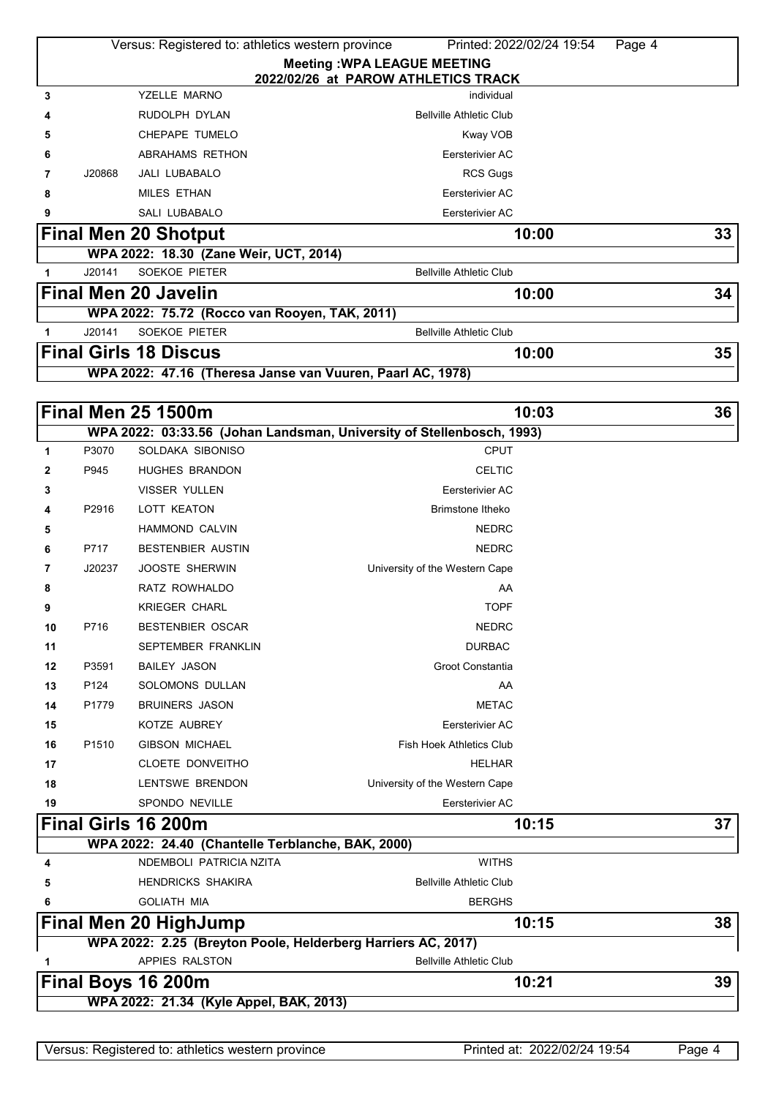|                                                                                         |               | WPA 2022: 21.34 (Kyle Appel, BAK, 2013)           |                                                                       |        |    |
|-----------------------------------------------------------------------------------------|---------------|---------------------------------------------------|-----------------------------------------------------------------------|--------|----|
|                                                                                         |               | Final Boys 16 200m                                | 10:21                                                                 |        | 39 |
| 1                                                                                       |               | APPIES RALSTON                                    | <b>Bellville Athletic Club</b>                                        |        |    |
|                                                                                         |               |                                                   | WPA 2022: 2.25 (Breyton Poole, Helderberg Harriers AC, 2017)          |        |    |
|                                                                                         |               | <b>Final Men 20 HighJump</b>                      | 10:15                                                                 |        | 38 |
| 6                                                                                       |               | <b>GOLIATH MIA</b>                                | <b>BERGHS</b>                                                         |        |    |
| 5                                                                                       |               | <b>HENDRICKS SHAKIRA</b>                          | <b>Bellville Athletic Club</b>                                        |        |    |
| 4                                                                                       |               | NDEMBOLI PATRICIA NZITA                           | <b>WITHS</b>                                                          |        |    |
|                                                                                         |               | WPA 2022: 24.40 (Chantelle Terblanche, BAK, 2000) |                                                                       |        |    |
|                                                                                         |               | Final Girls 16 200m                               | 10:15                                                                 |        | 37 |
| 19                                                                                      |               | <b>SPONDO NEVILLE</b>                             | Eersterivier AC                                                       |        |    |
| 18                                                                                      |               | LENTSWE BRENDON                                   | University of the Western Cape                                        |        |    |
| 17                                                                                      |               | <b>CLOETE DONVEITHO</b>                           | <b>HELHAR</b>                                                         |        |    |
| 16                                                                                      | P1510         | <b>GIBSON MICHAEL</b>                             | <b>Fish Hoek Athletics Club</b>                                       |        |    |
| 15                                                                                      |               | KOTZE AUBREY                                      | Eersterivier AC                                                       |        |    |
| 14                                                                                      | P1779         | <b>BRUINERS JASON</b>                             | <b>METAC</b>                                                          |        |    |
| 13                                                                                      | P124          | SOLOMONS DULLAN                                   | AA                                                                    |        |    |
| 12                                                                                      | P3591         | <b>BAILEY JASON</b>                               | Groot Constantia                                                      |        |    |
| 11                                                                                      |               | SEPTEMBER FRANKLIN                                | <b>DURBAC</b>                                                         |        |    |
| 10                                                                                      | P716          | <b>BESTENBIER OSCAR</b>                           | <b>NEDRC</b>                                                          |        |    |
| 9                                                                                       |               | <b>KRIEGER CHARL</b>                              | <b>TOPF</b>                                                           |        |    |
| 8                                                                                       |               | RATZ ROWHALDO                                     | AA                                                                    |        |    |
| 7                                                                                       | J20237        | <b>JOOSTE SHERWIN</b>                             | University of the Western Cape                                        |        |    |
| 6                                                                                       | P717          | <b>BESTENBIER AUSTIN</b>                          | <b>NEDRC</b>                                                          |        |    |
| 5                                                                                       |               | <b>HAMMOND CALVIN</b>                             | <b>NEDRC</b>                                                          |        |    |
| 4                                                                                       | P2916         | <b>LOTT KEATON</b>                                | <b>Brimstone Itheko</b>                                               |        |    |
| 3                                                                                       |               | VISSER YULLEN                                     |                                                                       |        |    |
| 2                                                                                       |               |                                                   | Eersterivier AC                                                       |        |    |
| 1                                                                                       | P3070<br>P945 | <b>HUGHES BRANDON</b>                             | <b>CPUT</b><br><b>CELTIC</b>                                          |        |    |
|                                                                                         |               | SOLDAKA SIBONISO                                  | WPA 2022: 03:33.56 (Johan Landsman, University of Stellenbosch, 1993) |        |    |
|                                                                                         |               | <b>Final Men 25 1500m</b>                         | 10:03                                                                 |        | 36 |
|                                                                                         |               |                                                   |                                                                       |        |    |
|                                                                                         |               |                                                   | WPA 2022: 47.16 (Theresa Janse van Vuuren, Paarl AC, 1978)            |        |    |
|                                                                                         |               | <b>Final Girls 18 Discus</b>                      | 10:00                                                                 |        | 35 |
| 1                                                                                       | J20141        | <b>SOEKOE PIETER</b>                              | <b>Bellville Athletic Club</b>                                        |        |    |
|                                                                                         |               | WPA 2022: 75.72 (Rocco van Rooyen, TAK, 2011)     |                                                                       |        |    |
|                                                                                         |               | <b>Final Men 20 Javelin</b>                       | 10:00                                                                 |        | 34 |
| 1                                                                                       | J20141        | <b>SOEKOE PIETER</b>                              | <b>Bellville Athletic Club</b>                                        |        |    |
|                                                                                         |               | WPA 2022: 18.30 (Zane Weir, UCT, 2014)            |                                                                       |        |    |
|                                                                                         |               | <b>Final Men 20 Shotput</b>                       | 10:00                                                                 |        | 33 |
| 9                                                                                       |               | <b>SALI LUBABALO</b>                              | Eersterivier AC                                                       |        |    |
| 8                                                                                       |               | <b>MILES ETHAN</b>                                | Eersterivier AC                                                       |        |    |
| 7                                                                                       | J20868        | <b>JALI LUBABALO</b>                              | <b>RCS Gugs</b>                                                       |        |    |
| 6                                                                                       |               | ABRAHAMS RETHON                                   | Eersterivier AC                                                       |        |    |
| 5                                                                                       |               | CHEPAPE TUMELO                                    | Kway VOB                                                              |        |    |
| 4                                                                                       |               | RUDOLPH DYLAN                                     | <b>Bellville Athletic Club</b>                                        |        |    |
| 3                                                                                       |               | YZELLE MARNO                                      | individual                                                            |        |    |
|                                                                                         |               |                                                   | 2022/02/26 at PAROW ATHLETICS TRACK                                   |        |    |
| Versus: Registered to: athletics western province<br><b>Meeting: WPA LEAGUE MEETING</b> |               |                                                   |                                                                       |        |    |
|                                                                                         |               |                                                   | Printed: 2022/02/24 19:54                                             | Page 4 |    |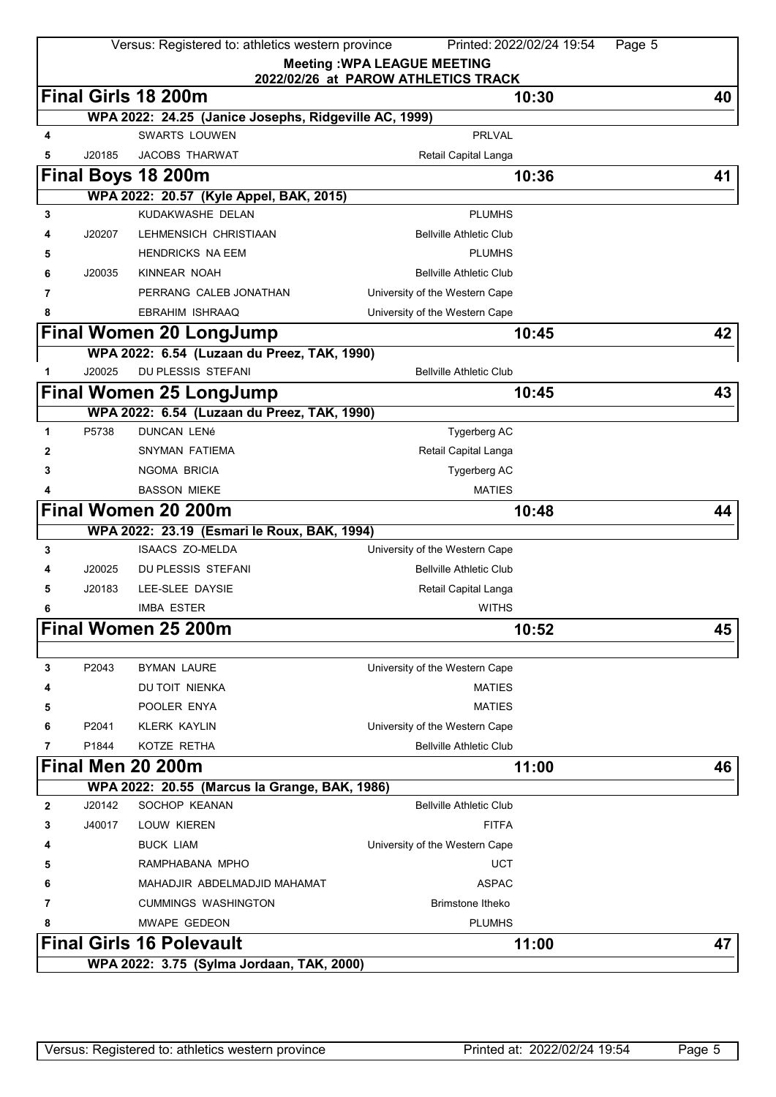|   |                                           | Versus: Registered to: athletics western province                     |                                                                           | Printed: 2022/02/24 19:54<br>Page 5 |    |  |  |
|---|-------------------------------------------|-----------------------------------------------------------------------|---------------------------------------------------------------------------|-------------------------------------|----|--|--|
|   |                                           |                                                                       | <b>Meeting: WPA LEAGUE MEETING</b><br>2022/02/26 at PAROW ATHLETICS TRACK |                                     |    |  |  |
|   |                                           | Final Girls 18 200m                                                   |                                                                           | 10:30                               | 40 |  |  |
|   |                                           | WPA 2022: 24.25 (Janice Josephs, Ridgeville AC, 1999)                 |                                                                           |                                     |    |  |  |
| 4 |                                           | <b>SWARTS LOUWEN</b>                                                  | <b>PRLVAL</b>                                                             |                                     |    |  |  |
| 5 | J20185                                    | <b>JACOBS THARWAT</b>                                                 | Retail Capital Langa                                                      |                                     |    |  |  |
|   |                                           | Final Boys 18 200m                                                    |                                                                           | 10:36                               | 41 |  |  |
|   |                                           | WPA 2022: 20.57 (Kyle Appel, BAK, 2015)                               |                                                                           |                                     |    |  |  |
| 3 |                                           | KUDAKWASHE DELAN                                                      | <b>PLUMHS</b>                                                             |                                     |    |  |  |
|   | J20207                                    | LEHMENSICH CHRISTIAAN                                                 | <b>Bellville Athletic Club</b>                                            |                                     |    |  |  |
| 5 |                                           | <b>HENDRICKS NA EEM</b>                                               | <b>PLUMHS</b>                                                             |                                     |    |  |  |
| 6 | J20035                                    | KINNEAR NOAH                                                          | <b>Bellville Athletic Club</b>                                            |                                     |    |  |  |
| 7 |                                           | PERRANG CALEB JONATHAN                                                | University of the Western Cape                                            |                                     |    |  |  |
| 8 |                                           | EBRAHIM ISHRAAQ                                                       | University of the Western Cape                                            |                                     |    |  |  |
|   |                                           | Final Women 20 LongJump                                               |                                                                           | 10:45                               | 42 |  |  |
|   |                                           | WPA 2022: 6.54 (Luzaan du Preez, TAK, 1990)                           |                                                                           |                                     |    |  |  |
| 1 | J20025                                    | DU PLESSIS STEFANI                                                    | <b>Bellville Athletic Club</b>                                            |                                     |    |  |  |
|   |                                           | <b>Final Women 25 LongJump</b>                                        |                                                                           | 10:45                               | 43 |  |  |
|   |                                           | WPA 2022: 6.54 (Luzaan du Preez, TAK, 1990)                           |                                                                           |                                     |    |  |  |
| 1 | P5738                                     | <b>DUNCAN LENé</b>                                                    | Tygerberg AC                                                              |                                     |    |  |  |
| 2 |                                           | SNYMAN FATIEMA                                                        | Retail Capital Langa                                                      |                                     |    |  |  |
| 3 |                                           | NGOMA BRICIA                                                          | Tygerberg AC                                                              |                                     |    |  |  |
|   |                                           | <b>BASSON MIEKE</b>                                                   | <b>MATIES</b>                                                             |                                     |    |  |  |
|   |                                           | <b>Final Women 20 200m</b>                                            |                                                                           | 10:48                               | 44 |  |  |
|   |                                           | WPA 2022: 23.19 (Esmari le Roux, BAK, 1994)<br><b>ISAACS ZO-MELDA</b> |                                                                           |                                     |    |  |  |
| 3 |                                           | <b>DU PLESSIS STEFANI</b>                                             | University of the Western Cape                                            |                                     |    |  |  |
|   | J20025<br>J20183                          |                                                                       | <b>Bellville Athletic Club</b>                                            |                                     |    |  |  |
| 5 |                                           | LEE-SLEE DAYSIE<br><b>IMBA ESTER</b>                                  | Retail Capital Langa<br><b>WITHS</b>                                      |                                     |    |  |  |
| 6 |                                           | Final Women 25 200m                                                   |                                                                           |                                     |    |  |  |
|   |                                           |                                                                       |                                                                           | 10:52                               | 45 |  |  |
| 3 | P2043                                     | <b>BYMAN LAURE</b>                                                    | University of the Western Cape                                            |                                     |    |  |  |
| 4 |                                           | DU TOIT NIENKA                                                        | <b>MATIES</b>                                                             |                                     |    |  |  |
| 5 |                                           | POOLER ENYA                                                           | <b>MATIES</b>                                                             |                                     |    |  |  |
| 6 | P2041                                     | <b>KLERK KAYLIN</b>                                                   | University of the Western Cape                                            |                                     |    |  |  |
| 7 | P1844                                     | KOTZE RETHA                                                           | <b>Bellville Athletic Club</b>                                            |                                     |    |  |  |
|   |                                           | Final Men 20 200m                                                     |                                                                           | 11:00                               | 46 |  |  |
|   |                                           | WPA 2022: 20.55 (Marcus la Grange, BAK, 1986)                         |                                                                           |                                     |    |  |  |
| 2 | J20142                                    | SOCHOP KEANAN                                                         | <b>Bellville Athletic Club</b>                                            |                                     |    |  |  |
| 3 | J40017                                    | LOUW KIEREN                                                           | <b>FITFA</b>                                                              |                                     |    |  |  |
| 4 |                                           | <b>BUCK LIAM</b>                                                      | University of the Western Cape                                            |                                     |    |  |  |
| 5 |                                           | RAMPHABANA MPHO                                                       | <b>UCT</b>                                                                |                                     |    |  |  |
| 6 |                                           | MAHADJIR ABDELMADJID MAHAMAT                                          | <b>ASPAC</b>                                                              |                                     |    |  |  |
| 7 |                                           | <b>CUMMINGS WASHINGTON</b>                                            | Brimstone Itheko                                                          |                                     |    |  |  |
| 8 |                                           | <b>MWAPE GEDEON</b>                                                   | <b>PLUMHS</b>                                                             |                                     |    |  |  |
|   |                                           | <b>Final Girls 16 Polevault</b>                                       |                                                                           | 11:00                               | 47 |  |  |
|   | WPA 2022: 3.75 (Sylma Jordaan, TAK, 2000) |                                                                       |                                                                           |                                     |    |  |  |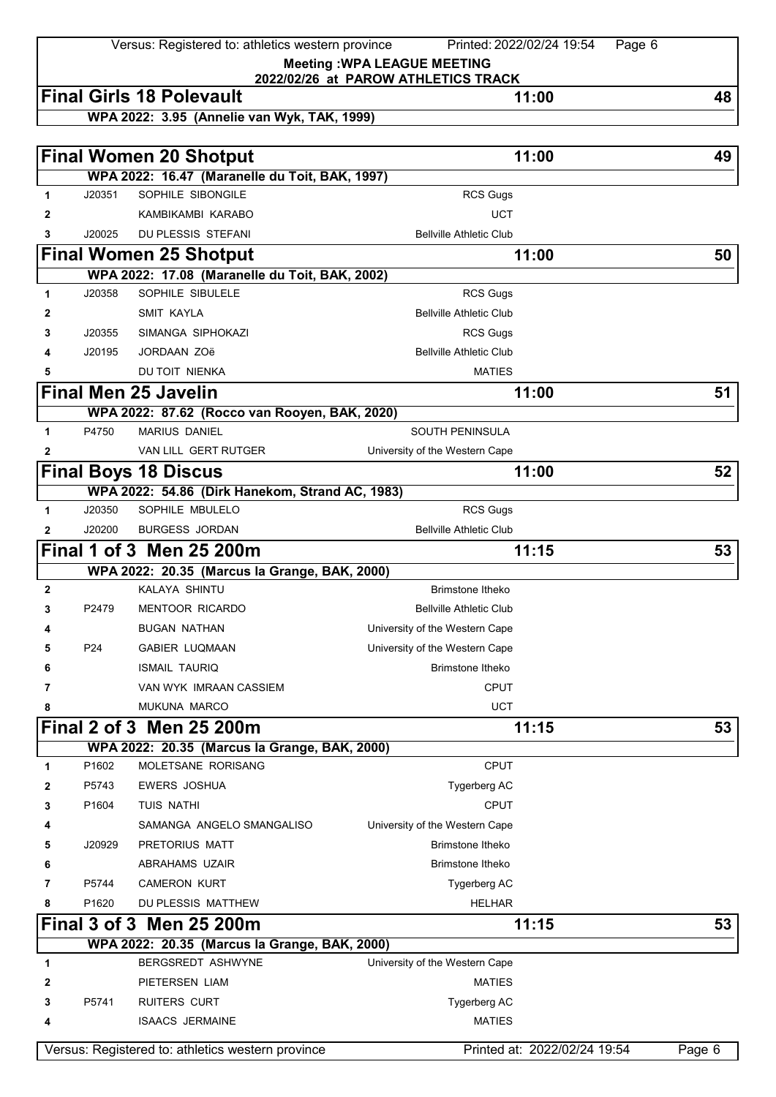Versus: Registered to: athletics western province Printed: 2022/02/24 19:54 Page 6

**Meeting :WPA LEAGUE MEETING 2022/02/26 at PAROW ATHLETICS TRACK**

|              |                   | <b>Final Girls 18 Polevault</b>                   | 11:00                          | 48     |
|--------------|-------------------|---------------------------------------------------|--------------------------------|--------|
|              |                   | WPA 2022: 3.95 (Annelie van Wyk, TAK, 1999)       |                                |        |
|              |                   |                                                   |                                |        |
|              |                   | <b>Final Women 20 Shotput</b>                     | 11:00                          | 49     |
|              |                   | WPA 2022: 16.47 (Maranelle du Toit, BAK, 1997)    |                                |        |
| 1            | J20351            | SOPHILE SIBONGILE                                 | <b>RCS Gugs</b>                |        |
| $\mathbf{2}$ |                   | KAMBIKAMBI KARABO                                 | <b>UCT</b>                     |        |
| 3            | J20025            | DU PLESSIS STEFANI                                | <b>Bellville Athletic Club</b> |        |
|              |                   | <b>Final Women 25 Shotput</b>                     | 11:00                          | 50     |
|              |                   | WPA 2022: 17.08 (Maranelle du Toit, BAK, 2002)    |                                |        |
| 1            | J20358            | SOPHILE SIBULELE                                  | <b>RCS Gugs</b>                |        |
| 2            |                   | <b>SMIT KAYLA</b>                                 | <b>Bellville Athletic Club</b> |        |
| 3            | J20355            | SIMANGA SIPHOKAZI                                 | <b>RCS Gugs</b>                |        |
| 4            | J20195            | <b>JORDAAN ZOë</b>                                | <b>Bellville Athletic Club</b> |        |
| 5            |                   | DU TOIT NIENKA                                    | <b>MATIES</b>                  |        |
|              |                   | <b>Final Men 25 Javelin</b>                       | 11:00                          | 51     |
|              |                   | WPA 2022: 87.62 (Rocco van Rooyen, BAK, 2020)     |                                |        |
| 1            | P4750             | <b>MARIUS DANIEL</b>                              | <b>SOUTH PENINSULA</b>         |        |
| $\mathbf{2}$ |                   | VAN LILL GERT RUTGER                              | University of the Western Cape |        |
|              |                   | <b>Final Boys 18 Discus</b>                       | 11:00                          | 52     |
|              |                   | WPA 2022: 54.86 (Dirk Hanekom, Strand AC, 1983)   |                                |        |
| 1            | J20350            | SOPHILE MBULELO                                   | <b>RCS Gugs</b>                |        |
| $\mathbf{2}$ | J20200            | <b>BURGESS JORDAN</b>                             | <b>Bellville Athletic Club</b> |        |
|              |                   | Final 1 of 3 Men 25 200m                          | 11:15                          | 53     |
|              |                   | WPA 2022: 20.35 (Marcus la Grange, BAK, 2000)     |                                |        |
| $\mathbf{2}$ |                   | KALAYA SHINTU                                     | <b>Brimstone Itheko</b>        |        |
| 3            | P2479             | <b>MENTOOR RICARDO</b>                            | <b>Bellville Athletic Club</b> |        |
|              |                   | <b>BUGAN NATHAN</b>                               | University of the Western Cape |        |
| 5            | P <sub>24</sub>   | <b>GABIER LUQMAAN</b>                             | University of the Western Cape |        |
| 6            |                   | <b>ISMAIL TAURIQ</b>                              | Brimstone Itheko               |        |
| 7            |                   | VAN WYK IMRAAN CASSIEM                            | <b>CPUT</b>                    |        |
| 8            |                   | <b>MUKUNA MARCO</b>                               | <b>UCT</b>                     |        |
|              |                   | Final 2 of 3 Men 25 200m                          | 11:15                          | 53     |
|              |                   | WPA 2022: 20.35 (Marcus la Grange, BAK, 2000)     |                                |        |
| 1            | P1602             | MOLETSANE RORISANG                                | <b>CPUT</b>                    |        |
| 2            | P5743             | <b>EWERS JOSHUA</b>                               | Tygerberg AC                   |        |
| 3            | P1604             | <b>TUIS NATHI</b>                                 | <b>CPUT</b>                    |        |
|              |                   | SAMANGA ANGELO SMANGALISO                         | University of the Western Cape |        |
| 5            | J20929            | PRETORIUS MATT                                    | Brimstone Itheko               |        |
| 6            |                   | ABRAHAMS UZAIR                                    | Brimstone Itheko               |        |
| 7            | P5744             | <b>CAMERON KURT</b>                               | Tygerberg AC                   |        |
| 8            | P <sub>1620</sub> | DU PLESSIS MATTHEW                                | <b>HELHAR</b>                  |        |
|              |                   | Final 3 of 3 Men 25 200m                          | 11:15                          | 53     |
|              |                   | WPA 2022: 20.35 (Marcus la Grange, BAK, 2000)     |                                |        |
| 1            |                   | <b>BERGSREDT ASHWYNE</b>                          | University of the Western Cape |        |
| 2            |                   | PIETERSEN LIAM                                    | <b>MATIES</b>                  |        |
| 3            | P5741             | <b>RUITERS CURT</b>                               | Tygerberg AC                   |        |
| 4            |                   | <b>ISAACS JERMAINE</b>                            | <b>MATIES</b>                  |        |
|              |                   |                                                   |                                |        |
|              |                   | Versus: Registered to: athletics western province | Printed at: 2022/02/24 19:54   | Page 6 |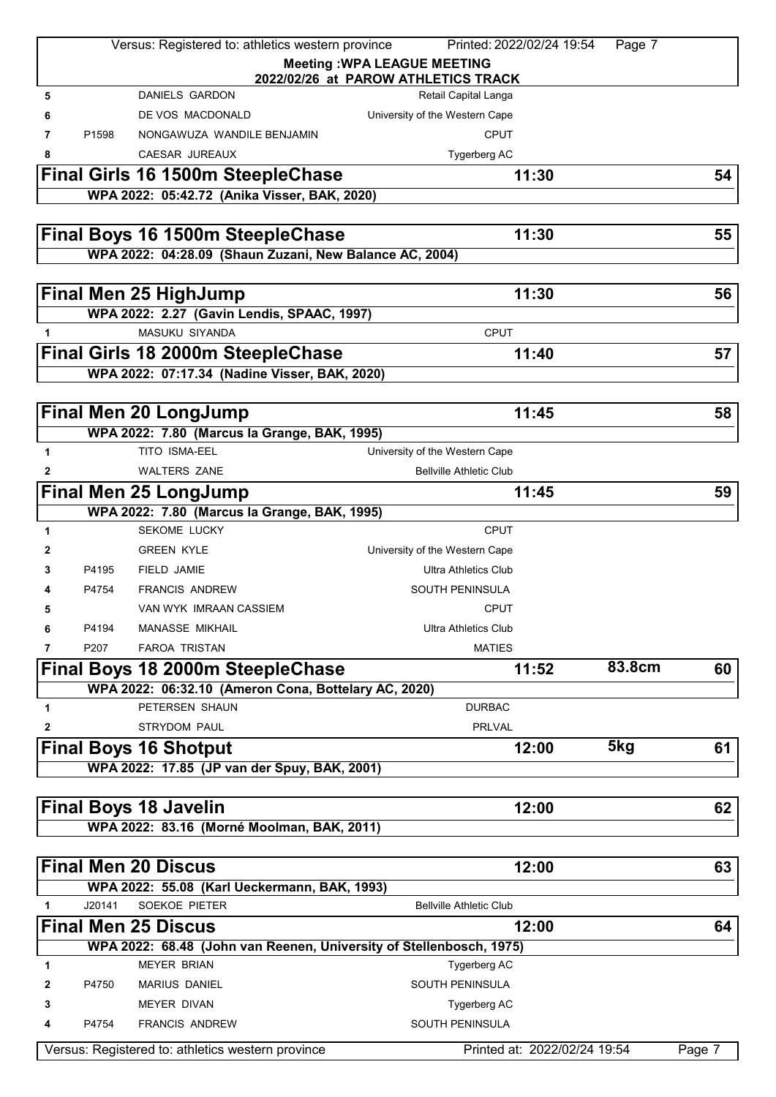|              |                   | Versus: Registered to: athletics western province                   | Printed: 2022/02/24 19:54                                                 | Page 7 |        |
|--------------|-------------------|---------------------------------------------------------------------|---------------------------------------------------------------------------|--------|--------|
|              |                   |                                                                     | <b>Meeting: WPA LEAGUE MEETING</b><br>2022/02/26 at PAROW ATHLETICS TRACK |        |        |
| 5            |                   | <b>DANIELS GARDON</b>                                               | Retail Capital Langa                                                      |        |        |
| 6            |                   | DE VOS MACDONALD                                                    | University of the Western Cape                                            |        |        |
| 7            | P <sub>1598</sub> | NONGAWUZA WANDILE BENJAMIN                                          | <b>CPUT</b>                                                               |        |        |
| 8            |                   | CAESAR JUREAUX                                                      | Tygerberg AC                                                              |        |        |
|              |                   | Final Girls 16 1500m SteepleChase                                   | 11:30                                                                     |        | 54     |
|              |                   | WPA 2022: 05:42.72 (Anika Visser, BAK, 2020)                        |                                                                           |        |        |
|              |                   |                                                                     |                                                                           |        |        |
|              |                   | Final Boys 16 1500m SteepleChase                                    | 11:30                                                                     |        | 55     |
|              |                   | WPA 2022: 04:28.09 (Shaun Zuzani, New Balance AC, 2004)             |                                                                           |        |        |
|              |                   |                                                                     |                                                                           |        |        |
|              |                   | <b>Final Men 25 HighJump</b>                                        | 11:30                                                                     |        | 56     |
|              |                   | WPA 2022: 2.27 (Gavin Lendis, SPAAC, 1997)                          |                                                                           |        |        |
| 1            |                   | MASUKU SIYANDA                                                      | <b>CPUT</b>                                                               |        |        |
|              |                   | <b>Final Girls 18 2000m SteepleChase</b>                            | 11:40                                                                     |        | 57     |
|              |                   | WPA 2022: 07:17.34 (Nadine Visser, BAK, 2020)                       |                                                                           |        |        |
|              |                   |                                                                     |                                                                           |        |        |
|              |                   | <b>Final Men 20 LongJump</b>                                        | 11:45                                                                     |        | 58     |
|              |                   | WPA 2022: 7.80 (Marcus la Grange, BAK, 1995)                        |                                                                           |        |        |
| $\mathbf{1}$ |                   | TITO ISMA-EEL                                                       | University of the Western Cape                                            |        |        |
| 2            |                   | <b>WALTERS ZANE</b>                                                 | <b>Bellville Athletic Club</b>                                            |        |        |
|              |                   | Final Men 25 LongJump                                               | 11:45                                                                     |        | 59     |
|              |                   | WPA 2022: 7.80 (Marcus la Grange, BAK, 1995)                        |                                                                           |        |        |
| $\mathbf{1}$ |                   | <b>SEKOME LUCKY</b>                                                 | <b>CPUT</b>                                                               |        |        |
| 2            |                   | <b>GREEN KYLE</b>                                                   | University of the Western Cape                                            |        |        |
| 3            | P4195             | <b>FIELD JAMIE</b>                                                  | <b>Ultra Athletics Club</b>                                               |        |        |
| 4            | P4754             | <b>FRANCIS ANDREW</b>                                               | <b>SOUTH PENINSULA</b>                                                    |        |        |
| 5            |                   | VAN WYK IMRAAN CASSIEM                                              | <b>CPUT</b>                                                               |        |        |
| 6            | P4194             | MANASSE MIKHAIL                                                     | <b>Ultra Athletics Club</b>                                               |        |        |
| 7            | P207              | <b>FAROA TRISTAN</b>                                                | <b>MATIES</b>                                                             |        |        |
|              |                   | Final Boys 18 2000m SteepleChase                                    | 11:52                                                                     | 83.8cm | 60     |
|              |                   | WPA 2022: 06:32.10 (Ameron Cona, Bottelary AC, 2020)                |                                                                           |        |        |
| 1            |                   | PETERSEN SHAUN                                                      | <b>DURBAC</b>                                                             |        |        |
| 2            |                   | <b>STRYDOM PAUL</b>                                                 | <b>PRLVAL</b>                                                             |        |        |
|              |                   | <b>Final Boys 16 Shotput</b>                                        | 12:00                                                                     | 5kg    | 61     |
|              |                   | WPA 2022: 17.85 (JP van der Spuy, BAK, 2001)                        |                                                                           |        |        |
|              |                   |                                                                     |                                                                           |        |        |
|              |                   | <b>Final Boys 18 Javelin</b>                                        | 12:00                                                                     |        | 62     |
|              |                   | WPA 2022: 83.16 (Morné Moolman, BAK, 2011)                          |                                                                           |        |        |
|              |                   |                                                                     |                                                                           |        |        |
|              |                   | <b>Final Men 20 Discus</b>                                          | 12:00                                                                     |        | 63     |
|              |                   | WPA 2022: 55.08 (Karl Ueckermann, BAK, 1993)                        |                                                                           |        |        |
| 1            | J20141            | SOEKOE PIETER                                                       | <b>Bellville Athletic Club</b>                                            |        |        |
|              |                   | <b>Final Men 25 Discus</b>                                          | 12:00                                                                     |        | 64     |
|              |                   | WPA 2022: 68.48 (John van Reenen, University of Stellenbosch, 1975) |                                                                           |        |        |
| 1            |                   | <b>MEYER BRIAN</b>                                                  | Tygerberg AC                                                              |        |        |
| 2            | P4750             | <b>MARIUS DANIEL</b>                                                | <b>SOUTH PENINSULA</b>                                                    |        |        |
| 3            |                   | <b>MEYER DIVAN</b>                                                  | Tygerberg AC                                                              |        |        |
| 4            | P4754             | <b>FRANCIS ANDREW</b>                                               | <b>SOUTH PENINSULA</b>                                                    |        |        |
|              |                   | Versus: Registered to: athletics western province                   | Printed at: 2022/02/24 19:54                                              |        | Page 7 |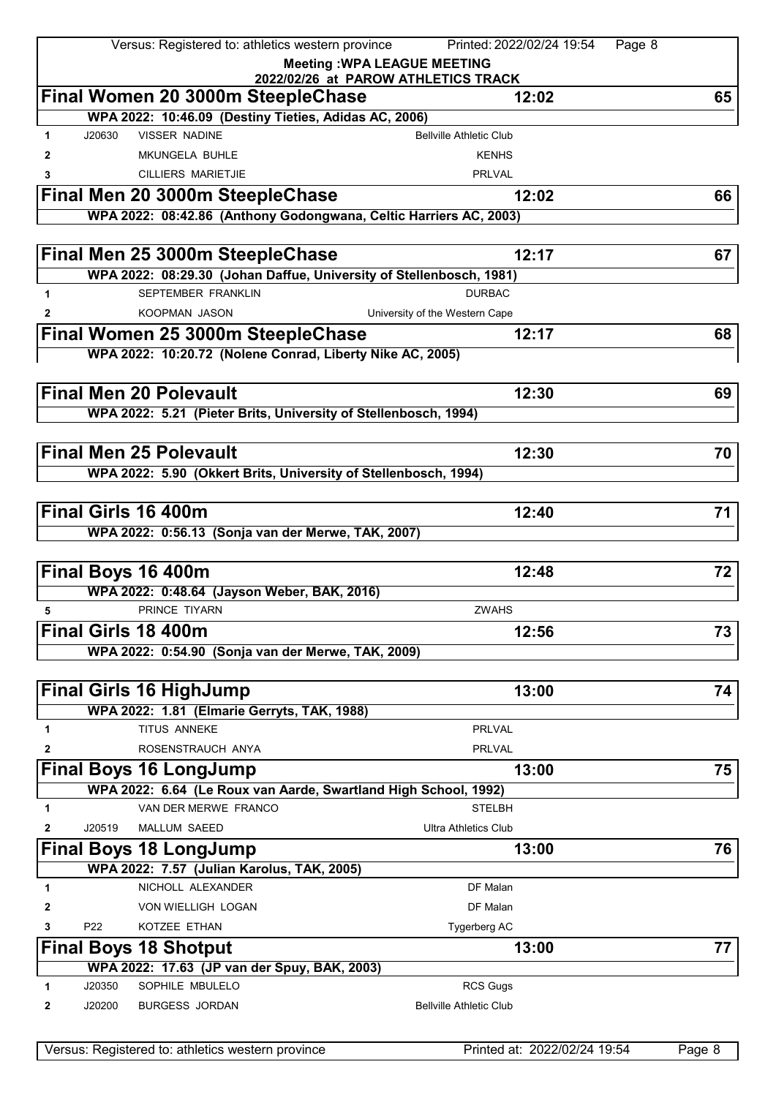|             |                 | Versus: Registered to: athletics western province                             | Printed: 2022/02/24 19:54           | Page 8 |
|-------------|-----------------|-------------------------------------------------------------------------------|-------------------------------------|--------|
|             |                 |                                                                               | <b>Meeting: WPA LEAGUE MEETING</b>  |        |
|             |                 |                                                                               | 2022/02/26 at PAROW ATHLETICS TRACK |        |
|             |                 | Final Women 20 3000m SteepleChase                                             | 12:02                               | 65     |
|             |                 | WPA 2022: 10:46.09 (Destiny Tieties, Adidas AC, 2006)<br><b>VISSER NADINE</b> |                                     |        |
| $\mathbf 1$ | J20630          |                                                                               | <b>Bellville Athletic Club</b>      |        |
| 2           |                 | <b>MKUNGELA BUHLE</b>                                                         | <b>KENHS</b>                        |        |
| 3           |                 | <b>CILLIERS MARIETJIE</b>                                                     | <b>PRLVAL</b>                       |        |
|             |                 | Final Men 20 3000m SteepleChase                                               | 12:02                               | 66     |
|             |                 | WPA 2022: 08:42.86 (Anthony Godongwana, Celtic Harriers AC, 2003)             |                                     |        |
|             |                 |                                                                               |                                     |        |
|             |                 | Final Men 25 3000m SteepleChase                                               | 12:17                               | 67     |
|             |                 | WPA 2022: 08:29.30 (Johan Daffue, University of Stellenbosch, 1981)           |                                     |        |
| 1           |                 | <b>SEPTEMBER FRANKLIN</b>                                                     | <b>DURBAC</b>                       |        |
| 2           |                 | KOOPMAN JASON                                                                 | University of the Western Cape      |        |
|             |                 | Final Women 25 3000m SteepleChase                                             | 12:17                               | 68     |
|             |                 | WPA 2022: 10:20.72 (Nolene Conrad, Liberty Nike AC, 2005)                     |                                     |        |
|             |                 |                                                                               |                                     |        |
|             |                 | <b>Final Men 20 Polevault</b>                                                 | 12:30                               | 69     |
|             |                 | WPA 2022: 5.21 (Pieter Brits, University of Stellenbosch, 1994)               |                                     |        |
|             |                 |                                                                               |                                     |        |
|             |                 | <b>Final Men 25 Polevault</b>                                                 | 12:30                               | 70     |
|             |                 | WPA 2022: 5.90 (Okkert Brits, University of Stellenbosch, 1994)               |                                     |        |
|             |                 |                                                                               |                                     |        |
|             |                 | Final Girls 16 400m                                                           | 12:40                               | 71     |
|             |                 | WPA 2022: 0:56.13 (Sonja van der Merwe, TAK, 2007)                            |                                     |        |
|             |                 |                                                                               |                                     |        |
|             |                 | Final Boys 16 400m                                                            | 12:48                               | 72     |
|             |                 | WPA 2022: 0:48.64 (Jayson Weber, BAK, 2016)                                   |                                     |        |
| 5           |                 | PRINCE TIYARN                                                                 | <b>ZWAHS</b>                        |        |
|             |                 | Final Girls 18 400m                                                           | 12:56                               | 73     |
|             |                 | WPA 2022: 0:54.90 (Sonja van der Merwe, TAK, 2009)                            |                                     |        |
|             |                 |                                                                               |                                     |        |
|             |                 | <b>Final Girls 16 HighJump</b>                                                | 13:00                               | 74     |
|             |                 | WPA 2022: 1.81 (Elmarie Gerryts, TAK, 1988)                                   |                                     |        |
| 1           |                 | TITUS ANNEKE                                                                  | <b>PRLVAL</b>                       |        |
| 2           |                 | ROSENSTRAUCH ANYA                                                             | <b>PRLVAL</b>                       |        |
|             |                 | <b>Final Boys 16 LongJump</b>                                                 | 13:00                               | 75     |
|             |                 | WPA 2022: 6.64 (Le Roux van Aarde, Swartland High School, 1992)               |                                     |        |
| 1           |                 | VAN DER MERWE FRANCO                                                          | <b>STELBH</b>                       |        |
| 2           | J20519          | MALLUM SAEED                                                                  | <b>Ultra Athletics Club</b>         |        |
|             |                 | <b>Final Boys 18 LongJump</b>                                                 | 13:00                               | 76     |
|             |                 | WPA 2022: 7.57 (Julian Karolus, TAK, 2005)                                    |                                     |        |
| 1           |                 | NICHOLL ALEXANDER                                                             | DF Malan                            |        |
| 2           |                 | VON WIELLIGH LOGAN                                                            | DF Malan                            |        |
| 3           | P <sub>22</sub> | KOTZEE ETHAN                                                                  | Tygerberg AC                        |        |
|             |                 | <b>Final Boys 18 Shotput</b>                                                  | 13:00                               | 77     |
|             |                 | WPA 2022: 17.63 (JP van der Spuy, BAK, 2003)                                  |                                     |        |
| 1           | J20350          | SOPHILE MBULELO                                                               | <b>RCS Gugs</b>                     |        |
| 2           | J20200          | <b>BURGESS JORDAN</b>                                                         | <b>Bellville Athletic Club</b>      |        |
|             |                 |                                                                               |                                     |        |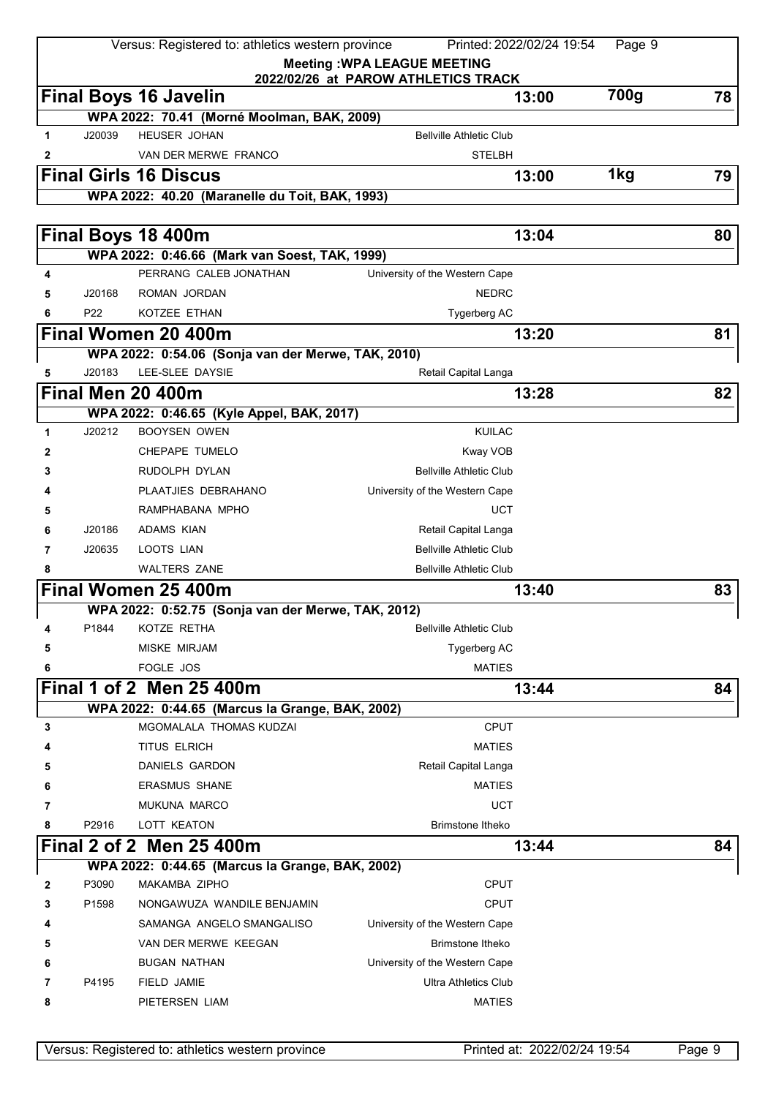| <b>Meeting: WPA LEAGUE MEETING</b><br>2022/02/26 at PAROW ATHLETICS TRACK<br>700g<br><b>Final Boys 16 Javelin</b><br>13:00<br>78<br>WPA 2022: 70.41 (Morné Moolman, BAK, 2009)<br><b>HEUSER JOHAN</b><br><b>Bellville Athletic Club</b><br>1<br>J20039<br>VAN DER MERWE FRANCO<br><b>STELBH</b><br>2<br>1kg<br><b>Final Girls 16 Discus</b><br>13:00<br>79<br>WPA 2022: 40.20 (Maranelle du Toit, BAK, 1993)<br>Final Boys 18 400m<br>13:04<br>80<br>WPA 2022: 0:46.66 (Mark van Soest, TAK, 1999)<br>PERRANG CALEB JONATHAN<br>4<br>University of the Western Cape<br><b>NEDRC</b><br>J20168<br>ROMAN JORDAN<br>5<br>P22<br>KOTZEE ETHAN<br>Tygerberg AC<br>6<br>Final Women 20 400m<br>13:20<br>81<br>WPA 2022: 0:54.06 (Sonja van der Merwe, TAK, 2010)<br>LEE-SLEE DAYSIE<br>J20183<br>5<br>Retail Capital Langa<br>Final Men 20 400m<br>13:28<br>82<br>WPA 2022: 0:46.65 (Kyle Appel, BAK, 2017)<br>J20212<br><b>BOOYSEN OWEN</b><br><b>KUILAC</b><br>1<br>CHEPAPE TUMELO<br>Kway VOB<br>2<br><b>Bellville Athletic Club</b><br>RUDOLPH DYLAN<br>3<br>PLAATJIES DEBRAHANO<br>University of the Western Cape<br>4<br><b>UCT</b><br>RAMPHABANA MPHO<br>5<br>J20186<br><b>ADAMS KIAN</b><br>Retail Capital Langa<br>6<br><b>Bellville Athletic Club</b><br>J20635<br>LOOTS LIAN<br>7<br><b>WALTERS ZANE</b><br><b>Bellville Athletic Club</b><br>8<br>Final Women 25 400m<br>13:40<br>83<br>WPA 2022: 0:52.75 (Sonja van der Merwe, TAK, 2012)<br>P1844<br>KOTZE RETHA<br><b>Bellville Athletic Club</b><br>4 |
|-----------------------------------------------------------------------------------------------------------------------------------------------------------------------------------------------------------------------------------------------------------------------------------------------------------------------------------------------------------------------------------------------------------------------------------------------------------------------------------------------------------------------------------------------------------------------------------------------------------------------------------------------------------------------------------------------------------------------------------------------------------------------------------------------------------------------------------------------------------------------------------------------------------------------------------------------------------------------------------------------------------------------------------------------------------------------------------------------------------------------------------------------------------------------------------------------------------------------------------------------------------------------------------------------------------------------------------------------------------------------------------------------------------------------------------------------------------------------------------------------------------------|
|                                                                                                                                                                                                                                                                                                                                                                                                                                                                                                                                                                                                                                                                                                                                                                                                                                                                                                                                                                                                                                                                                                                                                                                                                                                                                                                                                                                                                                                                                                                 |
|                                                                                                                                                                                                                                                                                                                                                                                                                                                                                                                                                                                                                                                                                                                                                                                                                                                                                                                                                                                                                                                                                                                                                                                                                                                                                                                                                                                                                                                                                                                 |
|                                                                                                                                                                                                                                                                                                                                                                                                                                                                                                                                                                                                                                                                                                                                                                                                                                                                                                                                                                                                                                                                                                                                                                                                                                                                                                                                                                                                                                                                                                                 |
|                                                                                                                                                                                                                                                                                                                                                                                                                                                                                                                                                                                                                                                                                                                                                                                                                                                                                                                                                                                                                                                                                                                                                                                                                                                                                                                                                                                                                                                                                                                 |
|                                                                                                                                                                                                                                                                                                                                                                                                                                                                                                                                                                                                                                                                                                                                                                                                                                                                                                                                                                                                                                                                                                                                                                                                                                                                                                                                                                                                                                                                                                                 |
|                                                                                                                                                                                                                                                                                                                                                                                                                                                                                                                                                                                                                                                                                                                                                                                                                                                                                                                                                                                                                                                                                                                                                                                                                                                                                                                                                                                                                                                                                                                 |
|                                                                                                                                                                                                                                                                                                                                                                                                                                                                                                                                                                                                                                                                                                                                                                                                                                                                                                                                                                                                                                                                                                                                                                                                                                                                                                                                                                                                                                                                                                                 |
|                                                                                                                                                                                                                                                                                                                                                                                                                                                                                                                                                                                                                                                                                                                                                                                                                                                                                                                                                                                                                                                                                                                                                                                                                                                                                                                                                                                                                                                                                                                 |
|                                                                                                                                                                                                                                                                                                                                                                                                                                                                                                                                                                                                                                                                                                                                                                                                                                                                                                                                                                                                                                                                                                                                                                                                                                                                                                                                                                                                                                                                                                                 |
|                                                                                                                                                                                                                                                                                                                                                                                                                                                                                                                                                                                                                                                                                                                                                                                                                                                                                                                                                                                                                                                                                                                                                                                                                                                                                                                                                                                                                                                                                                                 |
|                                                                                                                                                                                                                                                                                                                                                                                                                                                                                                                                                                                                                                                                                                                                                                                                                                                                                                                                                                                                                                                                                                                                                                                                                                                                                                                                                                                                                                                                                                                 |
|                                                                                                                                                                                                                                                                                                                                                                                                                                                                                                                                                                                                                                                                                                                                                                                                                                                                                                                                                                                                                                                                                                                                                                                                                                                                                                                                                                                                                                                                                                                 |
|                                                                                                                                                                                                                                                                                                                                                                                                                                                                                                                                                                                                                                                                                                                                                                                                                                                                                                                                                                                                                                                                                                                                                                                                                                                                                                                                                                                                                                                                                                                 |
|                                                                                                                                                                                                                                                                                                                                                                                                                                                                                                                                                                                                                                                                                                                                                                                                                                                                                                                                                                                                                                                                                                                                                                                                                                                                                                                                                                                                                                                                                                                 |
|                                                                                                                                                                                                                                                                                                                                                                                                                                                                                                                                                                                                                                                                                                                                                                                                                                                                                                                                                                                                                                                                                                                                                                                                                                                                                                                                                                                                                                                                                                                 |
|                                                                                                                                                                                                                                                                                                                                                                                                                                                                                                                                                                                                                                                                                                                                                                                                                                                                                                                                                                                                                                                                                                                                                                                                                                                                                                                                                                                                                                                                                                                 |
|                                                                                                                                                                                                                                                                                                                                                                                                                                                                                                                                                                                                                                                                                                                                                                                                                                                                                                                                                                                                                                                                                                                                                                                                                                                                                                                                                                                                                                                                                                                 |
|                                                                                                                                                                                                                                                                                                                                                                                                                                                                                                                                                                                                                                                                                                                                                                                                                                                                                                                                                                                                                                                                                                                                                                                                                                                                                                                                                                                                                                                                                                                 |
|                                                                                                                                                                                                                                                                                                                                                                                                                                                                                                                                                                                                                                                                                                                                                                                                                                                                                                                                                                                                                                                                                                                                                                                                                                                                                                                                                                                                                                                                                                                 |
|                                                                                                                                                                                                                                                                                                                                                                                                                                                                                                                                                                                                                                                                                                                                                                                                                                                                                                                                                                                                                                                                                                                                                                                                                                                                                                                                                                                                                                                                                                                 |
|                                                                                                                                                                                                                                                                                                                                                                                                                                                                                                                                                                                                                                                                                                                                                                                                                                                                                                                                                                                                                                                                                                                                                                                                                                                                                                                                                                                                                                                                                                                 |
|                                                                                                                                                                                                                                                                                                                                                                                                                                                                                                                                                                                                                                                                                                                                                                                                                                                                                                                                                                                                                                                                                                                                                                                                                                                                                                                                                                                                                                                                                                                 |
|                                                                                                                                                                                                                                                                                                                                                                                                                                                                                                                                                                                                                                                                                                                                                                                                                                                                                                                                                                                                                                                                                                                                                                                                                                                                                                                                                                                                                                                                                                                 |
|                                                                                                                                                                                                                                                                                                                                                                                                                                                                                                                                                                                                                                                                                                                                                                                                                                                                                                                                                                                                                                                                                                                                                                                                                                                                                                                                                                                                                                                                                                                 |
|                                                                                                                                                                                                                                                                                                                                                                                                                                                                                                                                                                                                                                                                                                                                                                                                                                                                                                                                                                                                                                                                                                                                                                                                                                                                                                                                                                                                                                                                                                                 |
|                                                                                                                                                                                                                                                                                                                                                                                                                                                                                                                                                                                                                                                                                                                                                                                                                                                                                                                                                                                                                                                                                                                                                                                                                                                                                                                                                                                                                                                                                                                 |
|                                                                                                                                                                                                                                                                                                                                                                                                                                                                                                                                                                                                                                                                                                                                                                                                                                                                                                                                                                                                                                                                                                                                                                                                                                                                                                                                                                                                                                                                                                                 |
|                                                                                                                                                                                                                                                                                                                                                                                                                                                                                                                                                                                                                                                                                                                                                                                                                                                                                                                                                                                                                                                                                                                                                                                                                                                                                                                                                                                                                                                                                                                 |
| <b>MISKE MIRJAM</b><br>Tygerberg AC<br>5                                                                                                                                                                                                                                                                                                                                                                                                                                                                                                                                                                                                                                                                                                                                                                                                                                                                                                                                                                                                                                                                                                                                                                                                                                                                                                                                                                                                                                                                        |
| FOGLE JOS<br><b>MATIES</b><br>6                                                                                                                                                                                                                                                                                                                                                                                                                                                                                                                                                                                                                                                                                                                                                                                                                                                                                                                                                                                                                                                                                                                                                                                                                                                                                                                                                                                                                                                                                 |
| Final 1 of 2 Men 25 400m<br>13:44<br>84                                                                                                                                                                                                                                                                                                                                                                                                                                                                                                                                                                                                                                                                                                                                                                                                                                                                                                                                                                                                                                                                                                                                                                                                                                                                                                                                                                                                                                                                         |
| WPA 2022: 0:44.65 (Marcus la Grange, BAK, 2002)                                                                                                                                                                                                                                                                                                                                                                                                                                                                                                                                                                                                                                                                                                                                                                                                                                                                                                                                                                                                                                                                                                                                                                                                                                                                                                                                                                                                                                                                 |
| MGOMALALA THOMAS KUDZAI<br><b>CPUT</b><br>3                                                                                                                                                                                                                                                                                                                                                                                                                                                                                                                                                                                                                                                                                                                                                                                                                                                                                                                                                                                                                                                                                                                                                                                                                                                                                                                                                                                                                                                                     |
| <b>TITUS ELRICH</b><br><b>MATIES</b>                                                                                                                                                                                                                                                                                                                                                                                                                                                                                                                                                                                                                                                                                                                                                                                                                                                                                                                                                                                                                                                                                                                                                                                                                                                                                                                                                                                                                                                                            |
| DANIELS GARDON<br>Retail Capital Langa<br>5                                                                                                                                                                                                                                                                                                                                                                                                                                                                                                                                                                                                                                                                                                                                                                                                                                                                                                                                                                                                                                                                                                                                                                                                                                                                                                                                                                                                                                                                     |
| <b>ERASMUS SHANE</b><br><b>MATIES</b><br>6                                                                                                                                                                                                                                                                                                                                                                                                                                                                                                                                                                                                                                                                                                                                                                                                                                                                                                                                                                                                                                                                                                                                                                                                                                                                                                                                                                                                                                                                      |
| <b>UCT</b><br>MUKUNA MARCO<br>7                                                                                                                                                                                                                                                                                                                                                                                                                                                                                                                                                                                                                                                                                                                                                                                                                                                                                                                                                                                                                                                                                                                                                                                                                                                                                                                                                                                                                                                                                 |
|                                                                                                                                                                                                                                                                                                                                                                                                                                                                                                                                                                                                                                                                                                                                                                                                                                                                                                                                                                                                                                                                                                                                                                                                                                                                                                                                                                                                                                                                                                                 |
| P2916<br>LOTT KEATON<br><b>Brimstone Itheko</b><br>8                                                                                                                                                                                                                                                                                                                                                                                                                                                                                                                                                                                                                                                                                                                                                                                                                                                                                                                                                                                                                                                                                                                                                                                                                                                                                                                                                                                                                                                            |
| Final 2 of 2 Men 25 400m<br>13:44<br>84                                                                                                                                                                                                                                                                                                                                                                                                                                                                                                                                                                                                                                                                                                                                                                                                                                                                                                                                                                                                                                                                                                                                                                                                                                                                                                                                                                                                                                                                         |
| WPA 2022: 0:44.65 (Marcus la Grange, BAK, 2002)                                                                                                                                                                                                                                                                                                                                                                                                                                                                                                                                                                                                                                                                                                                                                                                                                                                                                                                                                                                                                                                                                                                                                                                                                                                                                                                                                                                                                                                                 |
| P3090<br>MAKAMBA ZIPHO<br><b>CPUT</b><br>2                                                                                                                                                                                                                                                                                                                                                                                                                                                                                                                                                                                                                                                                                                                                                                                                                                                                                                                                                                                                                                                                                                                                                                                                                                                                                                                                                                                                                                                                      |
| <b>CPUT</b><br>P1598<br>NONGAWUZA WANDILE BENJAMIN<br>3                                                                                                                                                                                                                                                                                                                                                                                                                                                                                                                                                                                                                                                                                                                                                                                                                                                                                                                                                                                                                                                                                                                                                                                                                                                                                                                                                                                                                                                         |
| SAMANGA ANGELO SMANGALISO<br>University of the Western Cape<br>4                                                                                                                                                                                                                                                                                                                                                                                                                                                                                                                                                                                                                                                                                                                                                                                                                                                                                                                                                                                                                                                                                                                                                                                                                                                                                                                                                                                                                                                |
| <b>Brimstone Itheko</b><br>VAN DER MERWE KEEGAN<br>5                                                                                                                                                                                                                                                                                                                                                                                                                                                                                                                                                                                                                                                                                                                                                                                                                                                                                                                                                                                                                                                                                                                                                                                                                                                                                                                                                                                                                                                            |
| <b>BUGAN NATHAN</b><br>University of the Western Cape<br>6                                                                                                                                                                                                                                                                                                                                                                                                                                                                                                                                                                                                                                                                                                                                                                                                                                                                                                                                                                                                                                                                                                                                                                                                                                                                                                                                                                                                                                                      |
| P4195<br>FIELD JAMIE<br><b>Ultra Athletics Club</b><br>7<br>PIETERSEN LIAM<br><b>MATIES</b><br>8                                                                                                                                                                                                                                                                                                                                                                                                                                                                                                                                                                                                                                                                                                                                                                                                                                                                                                                                                                                                                                                                                                                                                                                                                                                                                                                                                                                                                |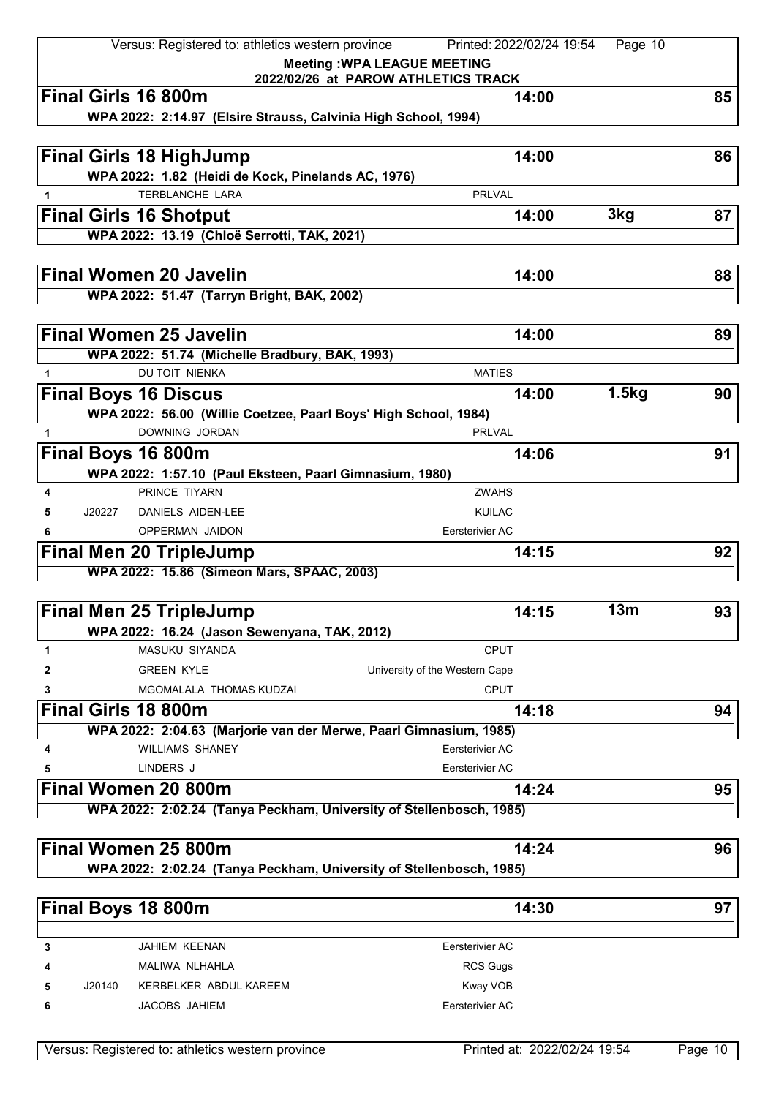|              |        | Versus: Registered to: athletics western province                                 | Printed: 2022/02/24 19:54           | Page 10 |    |
|--------------|--------|-----------------------------------------------------------------------------------|-------------------------------------|---------|----|
|              |        |                                                                                   | <b>Meeting: WPA LEAGUE MEETING</b>  |         |    |
|              |        |                                                                                   | 2022/02/26 at PAROW ATHLETICS TRACK |         |    |
|              |        | Final Girls 16 800m                                                               | 14:00                               |         | 85 |
|              |        | WPA 2022: 2:14.97 (Elsire Strauss, Calvinia High School, 1994)                    |                                     |         |    |
|              |        |                                                                                   |                                     |         |    |
|              |        | <b>Final Girls 18 HighJump</b>                                                    | 14:00                               |         | 86 |
|              |        | WPA 2022: 1.82 (Heidi de Kock, Pinelands AC, 1976)                                |                                     |         |    |
| 1            |        | TERBLANCHE LARA                                                                   | <b>PRLVAL</b>                       |         |    |
|              |        | <b>Final Girls 16 Shotput</b>                                                     | 14:00                               | 3kg     | 87 |
|              |        | WPA 2022: 13.19 (Chloë Serrotti, TAK, 2021)                                       |                                     |         |    |
|              |        |                                                                                   |                                     |         |    |
|              |        | <b>Final Women 20 Javelin</b>                                                     | 14:00                               |         | 88 |
|              |        | WPA 2022: 51.47 (Tarryn Bright, BAK, 2002)                                        |                                     |         |    |
|              |        |                                                                                   |                                     |         |    |
|              |        | <b>Final Women 25 Javelin</b>                                                     | 14:00                               |         | 89 |
|              |        | WPA 2022: 51.74 (Michelle Bradbury, BAK, 1993)                                    |                                     |         |    |
| $\mathbf{1}$ |        | DU TOIT NIENKA                                                                    | <b>MATIES</b>                       |         |    |
|              |        |                                                                                   | 14:00                               | 1.5kg   |    |
|              |        | <b>Final Boys 16 Discus</b>                                                       |                                     |         | 90 |
| $\mathbf{1}$ |        | WPA 2022: 56.00 (Willie Coetzee, Paarl Boys' High School, 1984)<br>DOWNING JORDAN | <b>PRLVAL</b>                       |         |    |
|              |        |                                                                                   |                                     |         |    |
|              |        | Final Boys 16 800m                                                                | 14:06                               |         | 91 |
|              |        | WPA 2022: 1:57.10 (Paul Eksteen, Paarl Gimnasium, 1980)                           |                                     |         |    |
| 4            |        | PRINCE TIYARN                                                                     | <b>ZWAHS</b>                        |         |    |
| 5            | J20227 | DANIELS AIDEN-LEE                                                                 | <b>KUILAC</b>                       |         |    |
|              |        | OPPERMAN JAIDON                                                                   | Eersterivier AC                     |         |    |
|              |        | <b>Final Men 20 TripleJump</b>                                                    | 14:15                               |         | 92 |
|              |        | WPA 2022: 15.86 (Simeon Mars, SPAAC, 2003)                                        |                                     |         |    |
|              |        |                                                                                   |                                     |         |    |
|              |        | <b>Final Men 25 TripleJump</b>                                                    | 14:15                               | 13m     | 93 |
|              |        | WPA 2022: 16.24 (Jason Sewenyana, TAK, 2012)                                      |                                     |         |    |
| 1            |        | MASUKU SIYANDA                                                                    | <b>CPUT</b>                         |         |    |
| 2            |        | <b>GREEN KYLE</b>                                                                 | University of the Western Cape      |         |    |
| 3            |        | MGOMALALA THOMAS KUDZAI                                                           | <b>CPUT</b>                         |         |    |
|              |        | <b>Final Girls 18 800m</b>                                                        | 14:18                               |         | 94 |
|              |        | WPA 2022: 2:04.63 (Marjorie van der Merwe, Paarl Gimnasium, 1985)                 |                                     |         |    |
| 4            |        | <b>WILLIAMS SHANEY</b>                                                            | Eersterivier AC                     |         |    |
| 5            |        | LINDERS J                                                                         | Eersterivier AC                     |         |    |
|              |        | Final Women 20 800m                                                               | 14:24                               |         | 95 |
|              |        | WPA 2022: 2:02.24 (Tanya Peckham, University of Stellenbosch, 1985)               |                                     |         |    |
|              |        |                                                                                   |                                     |         |    |
|              |        |                                                                                   |                                     |         |    |
|              |        | Final Women 25 800m                                                               | 14:24                               |         | 96 |
|              |        | WPA 2022: 2:02.24 (Tanya Peckham, University of Stellenbosch, 1985)               |                                     |         |    |
|              |        |                                                                                   |                                     |         |    |
|              |        | Final Boys 18 800m                                                                | 14:30                               |         | 97 |
|              |        |                                                                                   |                                     |         |    |
| 3            |        | JAHIEM KEENAN                                                                     | Eersterivier AC                     |         |    |
| 4            |        | MALIWA NLHAHLA                                                                    | <b>RCS Gugs</b>                     |         |    |
| 5            | J20140 | KERBELKER ABDUL KAREEM                                                            | Kway VOB                            |         |    |
| 6            |        | JACOBS JAHIEM                                                                     | Eersterivier AC                     |         |    |
|              |        |                                                                                   |                                     |         |    |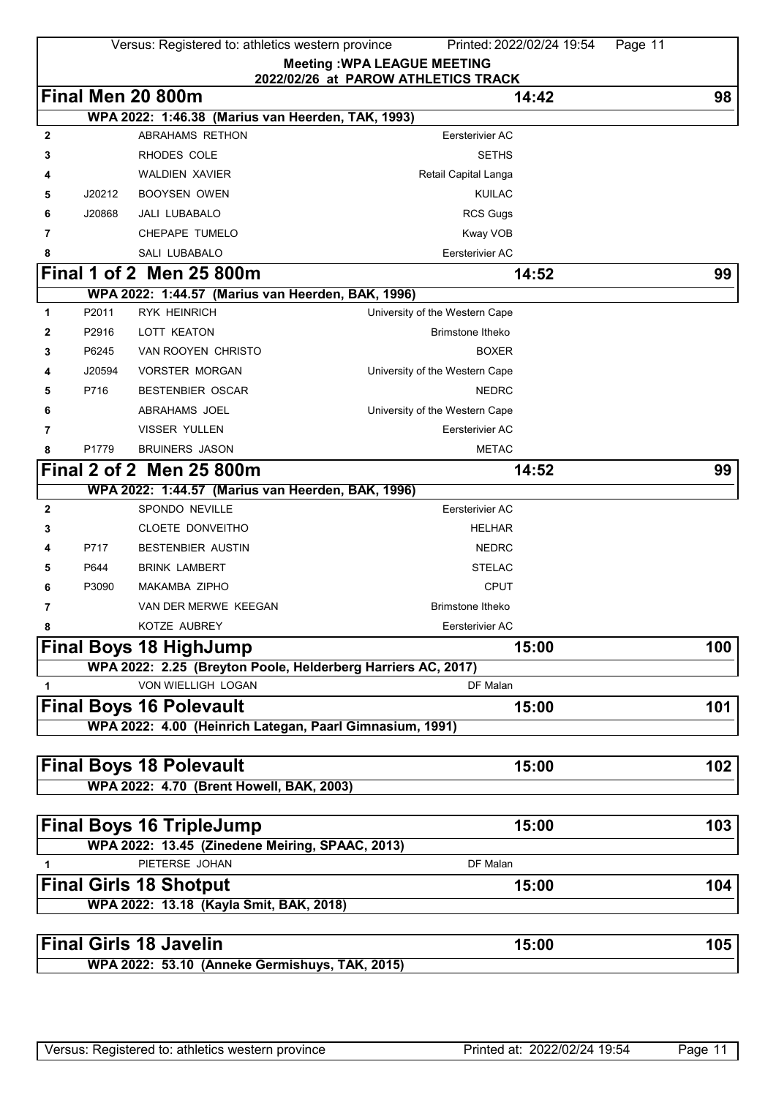|              |        | Versus: Registered to: athletics western province                   | Printed: 2022/02/24 19:54<br>Page 11                                      |     |
|--------------|--------|---------------------------------------------------------------------|---------------------------------------------------------------------------|-----|
|              |        |                                                                     | <b>Meeting: WPA LEAGUE MEETING</b><br>2022/02/26 at PAROW ATHLETICS TRACK |     |
|              |        | Final Men 20 800m                                                   | 14:42                                                                     | 98  |
|              |        | WPA 2022: 1:46.38 (Marius van Heerden, TAK, 1993)                   |                                                                           |     |
| 2            |        | ABRAHAMS RETHON                                                     | Eersterivier AC                                                           |     |
| 3            |        | RHODES COLE                                                         | <b>SETHS</b>                                                              |     |
|              |        | <b>WALDIEN XAVIER</b>                                               | Retail Capital Langa                                                      |     |
| 5            | J20212 | <b>BOOYSEN OWEN</b>                                                 | <b>KUILAC</b>                                                             |     |
| 6            | J20868 | JALI LUBABALO                                                       | <b>RCS Gugs</b>                                                           |     |
| 7            |        | CHEPAPE TUMELO                                                      | Kway VOB                                                                  |     |
| 8            |        | SALI LUBABALO                                                       | Eersterivier AC                                                           |     |
|              |        | Final 1 of 2 Men 25 800m                                            | 14:52                                                                     | 99  |
|              |        | WPA 2022: 1:44.57 (Marius van Heerden, BAK, 1996)                   |                                                                           |     |
| 1            | P2011  | <b>RYK HEINRICH</b>                                                 | University of the Western Cape                                            |     |
| 2            | P2916  | LOTT KEATON                                                         | <b>Brimstone Itheko</b>                                                   |     |
| 3            | P6245  | VAN ROOYEN CHRISTO                                                  | <b>BOXER</b>                                                              |     |
| 4            | J20594 | <b>VORSTER MORGAN</b>                                               | University of the Western Cape                                            |     |
| 5            | P716   | <b>BESTENBIER OSCAR</b>                                             | <b>NEDRC</b>                                                              |     |
| 6            |        | ABRAHAMS JOEL                                                       | University of the Western Cape                                            |     |
| 7            |        | <b>VISSER YULLEN</b>                                                | Eersterivier AC                                                           |     |
| 8            | P1779  | <b>BRUINERS JASON</b>                                               | <b>METAC</b>                                                              |     |
|              |        | <b>Final 2 of 2 Men 25 800m</b>                                     | 14:52                                                                     | 99  |
|              |        | WPA 2022: 1:44.57 (Marius van Heerden, BAK, 1996)<br>SPONDO NEVILLE |                                                                           |     |
| $\mathbf{2}$ |        | CLOETE DONVEITHO                                                    | Eersterivier AC<br><b>HELHAR</b>                                          |     |
| 3<br>4       | P717   | <b>BESTENBIER AUSTIN</b>                                            | <b>NEDRC</b>                                                              |     |
| 5            | P644   | <b>BRINK LAMBERT</b>                                                | <b>STELAC</b>                                                             |     |
| 6            | P3090  | MAKAMBA ZIPHO                                                       | <b>CPUT</b>                                                               |     |
| 7            |        | VAN DER MERWE KEEGAN                                                | <b>Brimstone Itheko</b>                                                   |     |
| 8            |        | KOTZE AUBREY                                                        | Eersterivier AC                                                           |     |
|              |        | <b>Final Boys 18 HighJump</b>                                       | 15:00                                                                     | 100 |
|              |        |                                                                     | WPA 2022: 2.25 (Breyton Poole, Helderberg Harriers AC, 2017)              |     |
| 1            |        | VON WIELLIGH LOGAN                                                  | DF Malan                                                                  |     |
|              |        | <b>Final Boys 16 Polevault</b>                                      | 15:00                                                                     | 101 |
|              |        |                                                                     | WPA 2022: 4.00 (Heinrich Lategan, Paarl Gimnasium, 1991)                  |     |
|              |        |                                                                     |                                                                           |     |
|              |        | <b>Final Boys 18 Polevault</b>                                      | 15:00                                                                     | 102 |
|              |        | WPA 2022: 4.70 (Brent Howell, BAK, 2003)                            |                                                                           |     |
|              |        |                                                                     |                                                                           |     |
|              |        | <b>Final Boys 16 TripleJump</b>                                     | 15:00                                                                     | 103 |
|              |        | WPA 2022: 13.45 (Zinedene Meiring, SPAAC, 2013)                     |                                                                           |     |
| 1            |        | PIETERSE JOHAN                                                      | DF Malan                                                                  |     |
|              |        | <b>Final Girls 18 Shotput</b>                                       | 15:00                                                                     | 104 |
|              |        | WPA 2022: 13.18 (Kayla Smit, BAK, 2018)                             |                                                                           |     |
|              |        |                                                                     |                                                                           |     |
|              |        | <b>Final Girls 18 Javelin</b>                                       | 15:00                                                                     | 105 |
|              |        | WPA 2022: 53.10 (Anneke Germishuys, TAK, 2015)                      |                                                                           |     |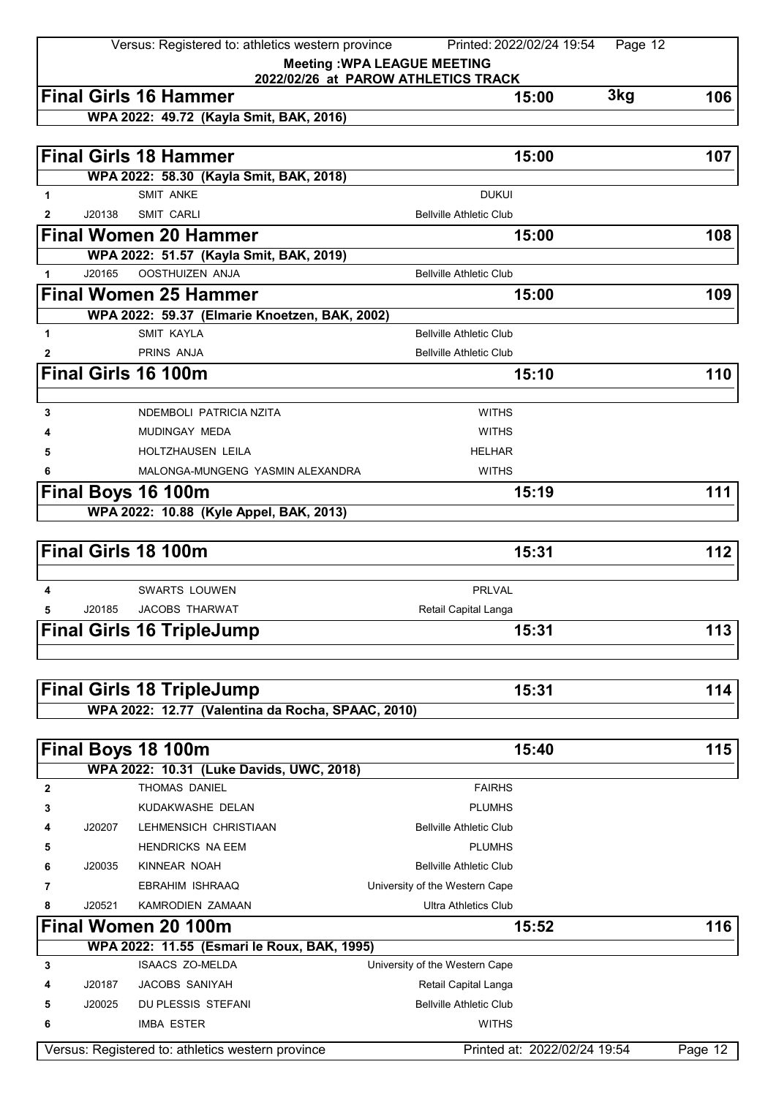|             |        | Versus: Registered to: athletics western province | Printed: 2022/02/24 19:54<br>Page 12 |         |
|-------------|--------|---------------------------------------------------|--------------------------------------|---------|
|             |        |                                                   | <b>Meeting: WPA LEAGUE MEETING</b>   |         |
|             |        |                                                   | 2022/02/26 at PAROW ATHLETICS TRACK  |         |
|             |        | <b>Final Girls 16 Hammer</b>                      | 3kg<br>15:00                         | 106     |
|             |        | WPA 2022: 49.72 (Kayla Smit, BAK, 2016)           |                                      |         |
|             |        |                                                   |                                      |         |
|             |        | <b>Final Girls 18 Hammer</b>                      | 15:00                                | 107     |
|             |        | WPA 2022: 58.30 (Kayla Smit, BAK, 2018)           |                                      |         |
| 1           |        | <b>SMIT ANKE</b>                                  | <b>DUKUI</b>                         |         |
| 2           | J20138 | <b>SMIT CARLI</b>                                 | <b>Bellville Athletic Club</b>       |         |
|             |        | <b>Final Women 20 Hammer</b>                      | 15:00                                | 108     |
|             |        | WPA 2022: 51.57 (Kayla Smit, BAK, 2019)           |                                      |         |
| 1           | J20165 | <b>OOSTHUIZEN ANJA</b>                            | <b>Bellville Athletic Club</b>       |         |
|             |        | <b>Final Women 25 Hammer</b>                      | 15:00                                | 109     |
|             |        | WPA 2022: 59.37 (Elmarie Knoetzen, BAK, 2002)     |                                      |         |
| 1           |        | <b>SMIT KAYLA</b>                                 | <b>Bellville Athletic Club</b>       |         |
| 2           |        | PRINS ANJA                                        | <b>Bellville Athletic Club</b>       |         |
|             |        | <b>Final Girls 16 100m</b>                        | 15:10                                | 110     |
|             |        |                                                   |                                      |         |
| 3           |        | NDEMBOLI PATRICIA NZITA                           | <b>WITHS</b>                         |         |
|             |        | MUDINGAY MEDA                                     | <b>WITHS</b>                         |         |
| 5           |        | HOLTZHAUSEN LEILA                                 | <b>HELHAR</b>                        |         |
| 6           |        | MALONGA-MUNGENG YASMIN ALEXANDRA                  | <b>WITHS</b>                         |         |
|             |        | Final Boys 16 100m                                | 15:19                                | 111     |
|             |        | WPA 2022: 10.88 (Kyle Appel, BAK, 2013)           |                                      |         |
|             |        |                                                   |                                      |         |
|             |        | Final Girls 18 100m                               | 15:31                                | 112     |
|             |        |                                                   |                                      |         |
| 4           |        | <b>SWARTS LOUWEN</b>                              | <b>PRLVAL</b>                        |         |
| 5           | J20185 | <b>JACOBS THARWAT</b>                             | Retail Capital Langa                 |         |
|             |        | <b>Final Girls 16 TripleJump</b>                  | 15:31                                | 113     |
|             |        |                                                   |                                      |         |
|             |        |                                                   |                                      |         |
|             |        | <b>Final Girls 18 TripleJump</b>                  | 15:31                                | 114     |
|             |        | WPA 2022: 12.77 (Valentina da Rocha, SPAAC, 2010) |                                      |         |
|             |        |                                                   |                                      |         |
|             |        | Final Boys 18 100m                                | 15:40                                | 115     |
|             |        | WPA 2022: 10.31 (Luke Davids, UWC, 2018)          |                                      |         |
| $\mathbf 2$ |        | <b>THOMAS DANIEL</b>                              | <b>FAIRHS</b>                        |         |
|             |        |                                                   | <b>PLUMHS</b>                        |         |
| 3           |        | KUDAKWASHE DELAN                                  |                                      |         |
| 4           | J20207 | LEHMENSICH CHRISTIAAN                             | <b>Bellville Athletic Club</b>       |         |
| 5           |        | <b>HENDRICKS NA EEM</b>                           | <b>PLUMHS</b>                        |         |
| 6           | J20035 | KINNEAR NOAH                                      | <b>Bellville Athletic Club</b>       |         |
| 7           |        | EBRAHIM ISHRAAQ                                   | University of the Western Cape       |         |
| 8           | J20521 | KAMRODIEN ZAMAAN                                  | <b>Ultra Athletics Club</b>          |         |
|             |        | Final Women 20 100m                               | 15:52                                | 116     |
|             |        | WPA 2022: 11.55 (Esmari le Roux, BAK, 1995)       |                                      |         |
| 3           |        | <b>ISAACS ZO-MELDA</b>                            | University of the Western Cape       |         |
| 4           | J20187 | <b>JACOBS SANIYAH</b>                             | Retail Capital Langa                 |         |
| 5           | J20025 | DU PLESSIS STEFANI                                | <b>Bellville Athletic Club</b>       |         |
| 6           |        | <b>IMBA ESTER</b>                                 | <b>WITHS</b>                         |         |
|             |        | Versus: Registered to: athletics western province | Printed at: 2022/02/24 19:54         | Page 12 |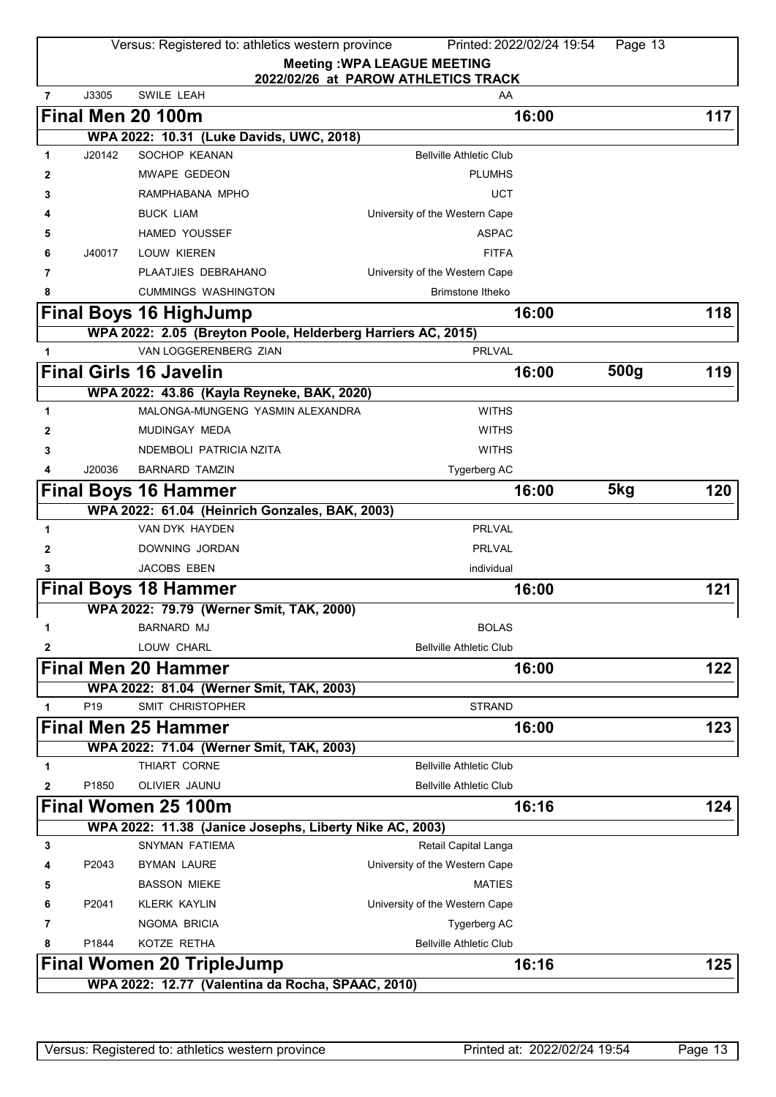Versus: Registered to: athletics western province Printed: 2022/02/24 19:54 Page 13

**Meeting :WPA LEAGUE MEETING**

|                |                 |                                                         | 2022/02/26 at PAROW ATHLETICS TRACK                          |      |     |
|----------------|-----------------|---------------------------------------------------------|--------------------------------------------------------------|------|-----|
| $\overline{7}$ | J3305           | <b>SWILE LEAH</b>                                       | AA                                                           |      |     |
|                |                 | Final Men 20 100m                                       | 16:00                                                        |      | 117 |
|                |                 | WPA 2022: 10.31 (Luke Davids, UWC, 2018)                |                                                              |      |     |
| 1              | J20142          | SOCHOP KEANAN                                           | <b>Bellville Athletic Club</b>                               |      |     |
| 2              |                 | MWAPE GEDEON                                            | <b>PLUMHS</b>                                                |      |     |
| 3              |                 | RAMPHABANA MPHO                                         | <b>UCT</b>                                                   |      |     |
|                |                 | <b>BUCK LIAM</b>                                        | University of the Western Cape                               |      |     |
| 5              |                 | <b>HAMED YOUSSEF</b>                                    | <b>ASPAC</b>                                                 |      |     |
| 6              | J40017          | LOUW KIEREN                                             | <b>FITFA</b>                                                 |      |     |
| 7              |                 | PLAATJIES DEBRAHANO                                     | University of the Western Cape                               |      |     |
| 8              |                 | <b>CUMMINGS WASHINGTON</b>                              | <b>Brimstone Itheko</b>                                      |      |     |
|                |                 | <b>Final Boys 16 HighJump</b>                           | 16:00                                                        |      | 118 |
|                |                 |                                                         | WPA 2022: 2.05 (Breyton Poole, Helderberg Harriers AC, 2015) |      |     |
| 1              |                 | VAN LOGGERENBERG ZIAN                                   | <b>PRLVAL</b>                                                |      |     |
|                |                 | <b>Final Girls 16 Javelin</b>                           | 16:00                                                        | 500g | 119 |
|                |                 | WPA 2022: 43.86 (Kayla Reyneke, BAK, 2020)              |                                                              |      |     |
| 1              |                 | MALONGA-MUNGENG YASMIN ALEXANDRA                        | <b>WITHS</b>                                                 |      |     |
| 2              |                 | MUDINGAY MEDA                                           | <b>WITHS</b>                                                 |      |     |
| 3              |                 | NDEMBOLI PATRICIA NZITA                                 | <b>WITHS</b>                                                 |      |     |
| 4              | J20036          | <b>BARNARD TAMZIN</b>                                   | Tygerberg AC                                                 |      |     |
|                |                 | Final Boys 16 Hammer                                    | 16:00                                                        | 5kg  | 120 |
|                |                 | WPA 2022: 61.04 (Heinrich Gonzales, BAK, 2003)          |                                                              |      |     |
| 1              |                 | VAN DYK HAYDEN                                          | <b>PRLVAL</b>                                                |      |     |
| 2              |                 | DOWNING JORDAN                                          | <b>PRLVAL</b>                                                |      |     |
| 3              |                 | <b>JACOBS EBEN</b>                                      | individual                                                   |      |     |
|                |                 | <b>Final Boys 18 Hammer</b>                             | 16:00                                                        |      | 121 |
|                |                 | WPA 2022: 79.79 (Werner Smit, TAK, 2000)                |                                                              |      |     |
| 1              |                 | <b>BARNARD MJ</b>                                       | <b>BOLAS</b>                                                 |      |     |
| 2              |                 | LOUW CHARL                                              | <b>Bellville Athletic Club</b>                               |      |     |
|                |                 | <b>Final Men 20 Hammer</b>                              | 16:00                                                        |      | 122 |
|                |                 | WPA 2022: 81.04 (Werner Smit, TAK, 2003)                |                                                              |      |     |
| 1              | P <sub>19</sub> | SMIT CHRISTOPHER                                        | <b>STRAND</b>                                                |      |     |
|                |                 | <b>Final Men 25 Hammer</b>                              | 16:00                                                        |      | 123 |
|                |                 | WPA 2022: 71.04 (Werner Smit, TAK, 2003)                |                                                              |      |     |
| 1              |                 | THIART CORNE                                            | <b>Bellville Athletic Club</b>                               |      |     |
| 2              | P1850           | OLIVIER JAUNU                                           | <b>Bellville Athletic Club</b>                               |      |     |
|                |                 | Final Women 25 100m                                     | 16:16                                                        |      | 124 |
|                |                 | WPA 2022: 11.38 (Janice Josephs, Liberty Nike AC, 2003) |                                                              |      |     |
| 3              |                 | <b>SNYMAN FATIEMA</b>                                   | Retail Capital Langa                                         |      |     |
| 4              | P2043           | <b>BYMAN LAURE</b>                                      | University of the Western Cape                               |      |     |
| 5              |                 | <b>BASSON MIEKE</b>                                     | <b>MATIES</b>                                                |      |     |
| 6              | P2041           | <b>KLERK KAYLIN</b>                                     | University of the Western Cape                               |      |     |
| 7              |                 | NGOMA BRICIA                                            | Tygerberg AC                                                 |      |     |
| 8              | P1844           | KOTZE RETHA                                             | <b>Bellville Athletic Club</b>                               |      |     |
|                |                 | <b>Final Women 20 TripleJump</b>                        | 16:16                                                        |      | 125 |
|                |                 | WPA 2022: 12.77 (Valentina da Rocha, SPAAC, 2010)       |                                                              |      |     |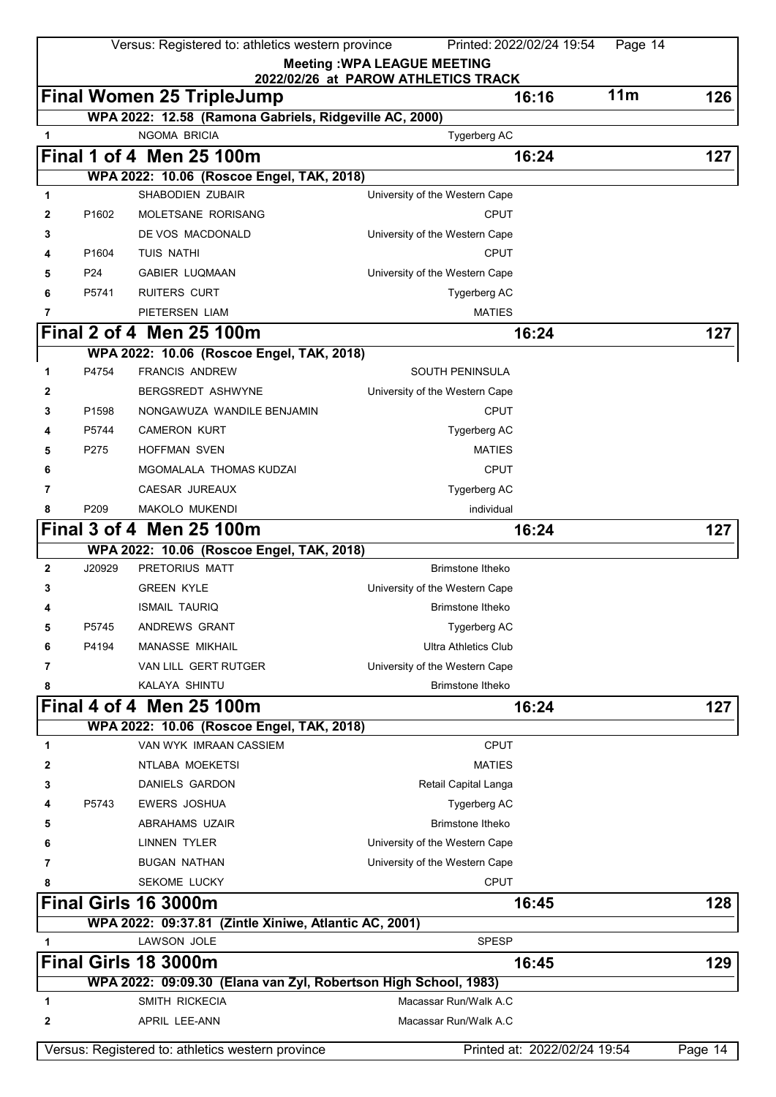| Versus: Registered to: athletics western province<br>Printed: 2022/02/24 19:54<br>Page 14 |                   |                                                                        |                                     |                              |         |
|-------------------------------------------------------------------------------------------|-------------------|------------------------------------------------------------------------|-------------------------------------|------------------------------|---------|
|                                                                                           |                   |                                                                        | <b>Meeting: WPA LEAGUE MEETING</b>  |                              |         |
|                                                                                           |                   |                                                                        | 2022/02/26 at PAROW ATHLETICS TRACK | 11m<br>16:16                 | 126     |
|                                                                                           |                   | <b>Final Women 25 TripleJump</b>                                       |                                     |                              |         |
| 1                                                                                         |                   | WPA 2022: 12.58 (Ramona Gabriels, Ridgeville AC, 2000)<br>NGOMA BRICIA | Tygerberg AC                        |                              |         |
|                                                                                           |                   | <b>Final 1 of 4 Men 25 100m</b>                                        |                                     |                              | 127     |
|                                                                                           |                   | WPA 2022: 10.06 (Roscoe Engel, TAK, 2018)                              |                                     | 16:24                        |         |
| 1                                                                                         |                   | SHABODIEN ZUBAIR                                                       | University of the Western Cape      |                              |         |
| 2                                                                                         | P1602             | MOLETSANE RORISANG                                                     | <b>CPUT</b>                         |                              |         |
| 3                                                                                         |                   | DE VOS MACDONALD                                                       | University of the Western Cape      |                              |         |
| 4                                                                                         | P1604             | <b>TUIS NATHI</b>                                                      | <b>CPUT</b>                         |                              |         |
| 5                                                                                         | P <sub>24</sub>   | <b>GABIER LUQMAAN</b>                                                  | University of the Western Cape      |                              |         |
| 6                                                                                         | P5741             | <b>RUITERS CURT</b>                                                    | Tygerberg AC                        |                              |         |
| 7                                                                                         |                   | PIETERSEN LIAM                                                         | <b>MATIES</b>                       |                              |         |
|                                                                                           |                   | Final 2 of 4 Men 25 100m                                               |                                     | 16:24                        | 127     |
|                                                                                           |                   | WPA 2022: 10.06 (Roscoe Engel, TAK, 2018)                              |                                     |                              |         |
| 1                                                                                         | P4754             | <b>FRANCIS ANDREW</b>                                                  | <b>SOUTH PENINSULA</b>              |                              |         |
| 2                                                                                         |                   | <b>BERGSREDT ASHWYNE</b>                                               | University of the Western Cape      |                              |         |
| 3                                                                                         | P <sub>1598</sub> | NONGAWUZA WANDILE BENJAMIN                                             | <b>CPUT</b>                         |                              |         |
|                                                                                           | P5744             | <b>CAMERON KURT</b>                                                    | Tygerberg AC                        |                              |         |
| 5                                                                                         | P275              | <b>HOFFMAN SVEN</b>                                                    | <b>MATIES</b>                       |                              |         |
| 6                                                                                         |                   | MGOMALALA THOMAS KUDZAI                                                | <b>CPUT</b>                         |                              |         |
| 7                                                                                         |                   | CAESAR JUREAUX                                                         | Tygerberg AC                        |                              |         |
| 8                                                                                         | P209              | MAKOLO MUKENDI                                                         | individual                          |                              |         |
|                                                                                           |                   | <b>Final 3 of 4 Men 25 100m</b>                                        |                                     | 16:24                        | 127     |
|                                                                                           |                   | WPA 2022: 10.06 (Roscoe Engel, TAK, 2018)                              |                                     |                              |         |
| $\mathbf{2}$                                                                              | J20929            | PRETORIUS MATT                                                         | <b>Brimstone Itheko</b>             |                              |         |
| 3                                                                                         |                   | <b>GREEN KYLE</b>                                                      | University of the Western Cape      |                              |         |
| 4                                                                                         |                   | <b>ISMAIL TAURIQ</b>                                                   | Brimstone Itheko                    |                              |         |
| 5                                                                                         | P5745             | ANDREWS GRANT                                                          | Tygerberg AC                        |                              |         |
| 6                                                                                         | P4194             | <b>MANASSE MIKHAIL</b>                                                 | <b>Ultra Athletics Club</b>         |                              |         |
| 7                                                                                         |                   | VAN LILL GERT RUTGER                                                   | University of the Western Cape      |                              |         |
| 8                                                                                         |                   | <b>KALAYA SHINTU</b>                                                   | Brimstone Itheko                    |                              |         |
|                                                                                           |                   | Final 4 of 4 Men 25 100m                                               |                                     | 16:24                        | 127     |
|                                                                                           |                   | WPA 2022: 10.06 (Roscoe Engel, TAK, 2018)                              |                                     |                              |         |
| 1                                                                                         |                   | VAN WYK IMRAAN CASSIEM                                                 | <b>CPUT</b>                         |                              |         |
| 2                                                                                         |                   | NTLABA MOEKETSI                                                        | <b>MATIES</b>                       |                              |         |
| 3                                                                                         |                   | <b>DANIELS GARDON</b>                                                  | Retail Capital Langa                |                              |         |
|                                                                                           | P5743             | <b>EWERS JOSHUA</b>                                                    | Tygerberg AC                        |                              |         |
| 5                                                                                         |                   | ABRAHAMS UZAIR                                                         | <b>Brimstone Itheko</b>             |                              |         |
| 6                                                                                         |                   | <b>LINNEN TYLER</b>                                                    | University of the Western Cape      |                              |         |
| 7                                                                                         |                   | <b>BUGAN NATHAN</b>                                                    | University of the Western Cape      |                              |         |
| 8                                                                                         |                   | <b>SEKOME LUCKY</b>                                                    | <b>CPUT</b>                         |                              |         |
|                                                                                           |                   | Final Girls 16 3000m                                                   |                                     | 16:45                        | 128     |
|                                                                                           |                   | WPA 2022: 09:37.81 (Zintle Xiniwe, Atlantic AC, 2001)                  |                                     |                              |         |
| 1                                                                                         |                   | LAWSON JOLE                                                            | <b>SPESP</b>                        |                              |         |
|                                                                                           |                   | Final Girls 18 3000m                                                   |                                     | 16:45                        | 129     |
|                                                                                           |                   | WPA 2022: 09:09.30 (Elana van Zyl, Robertson High School, 1983)        |                                     |                              |         |
| 1                                                                                         |                   | SMITH RICKECIA                                                         | Macassar Run/Walk A.C               |                              |         |
| 2                                                                                         |                   | APRIL LEE-ANN                                                          | Macassar Run/Walk A.C               |                              |         |
|                                                                                           |                   | Versus: Registered to: athletics western province                      |                                     | Printed at: 2022/02/24 19:54 | Page 14 |
|                                                                                           |                   |                                                                        |                                     |                              |         |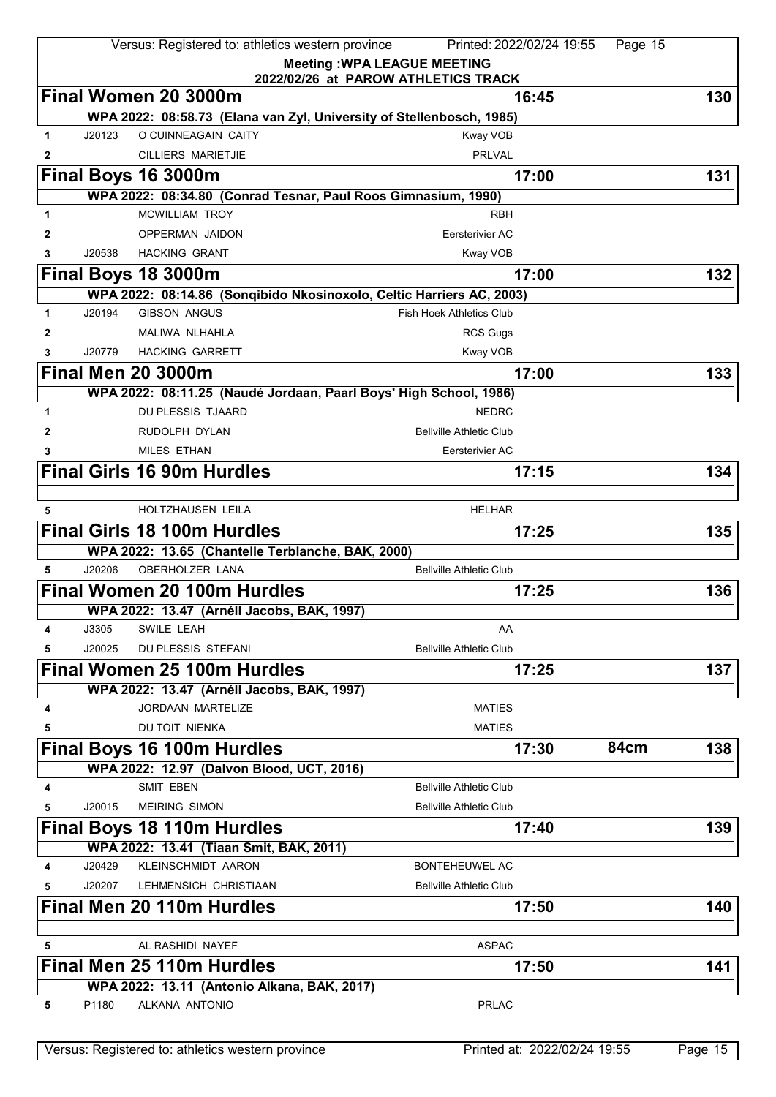|              |        | Versus: Registered to: athletics western province                                           | Printed: 2022/02/24 19:55           | Page 15 |         |
|--------------|--------|---------------------------------------------------------------------------------------------|-------------------------------------|---------|---------|
|              |        |                                                                                             | <b>Meeting: WPA LEAGUE MEETING</b>  |         |         |
|              |        |                                                                                             | 2022/02/26 at PAROW ATHLETICS TRACK |         |         |
|              |        | Final Women 20 3000m                                                                        | 16:45                               |         | 130     |
|              |        | WPA 2022: 08:58.73 (Elana van Zyl, University of Stellenbosch, 1985)<br>O CUINNEAGAIN CAITY |                                     |         |         |
| $\mathbf{1}$ | J20123 |                                                                                             | Kway VOB                            |         |         |
| 2            |        | <b>CILLIERS MARIETJIE</b>                                                                   | <b>PRLVAL</b>                       |         |         |
|              |        | Final Boys 16 3000m                                                                         | 17:00                               |         | 131     |
|              |        | WPA 2022: 08:34.80 (Conrad Tesnar, Paul Roos Gimnasium, 1990)                               |                                     |         |         |
| 1            |        | <b>MCWILLIAM TROY</b>                                                                       | <b>RBH</b>                          |         |         |
| 2            |        | OPPERMAN JAIDON                                                                             | Eersterivier AC                     |         |         |
| 3            | J20538 | <b>HACKING GRANT</b>                                                                        | Kway VOB                            |         |         |
|              |        | Final Boys 18 3000m                                                                         | 17:00                               |         | 132     |
|              |        | WPA 2022: 08:14.86 (Sonqibido Nkosinoxolo, Celtic Harriers AC, 2003)                        |                                     |         |         |
| 1            | J20194 | <b>GIBSON ANGUS</b>                                                                         | <b>Fish Hoek Athletics Club</b>     |         |         |
| 2            |        | MALIWA NLHAHLA                                                                              | <b>RCS Gugs</b>                     |         |         |
| 3            | J20779 | <b>HACKING GARRETT</b>                                                                      | Kway VOB                            |         |         |
|              |        | <b>Final Men 20 3000m</b>                                                                   | 17:00                               |         | 133     |
|              |        | WPA 2022: 08:11.25 (Naudé Jordaan, Paarl Boys' High School, 1986)                           |                                     |         |         |
| 1            |        | <b>DU PLESSIS TJAARD</b>                                                                    | <b>NEDRC</b>                        |         |         |
| 2            |        | RUDOLPH DYLAN                                                                               | <b>Bellville Athletic Club</b>      |         |         |
| 3            |        | <b>MILES ETHAN</b>                                                                          | Eersterivier AC                     |         |         |
|              |        | <b>Final Girls 16 90m Hurdles</b>                                                           | 17:15                               |         | 134     |
|              |        |                                                                                             |                                     |         |         |
| 5            |        | HOLTZHAUSEN LEILA                                                                           | <b>HELHAR</b>                       |         |         |
|              |        | <b>Final Girls 18 100m Hurdles</b>                                                          | 17:25                               |         | 135     |
|              |        | WPA 2022: 13.65 (Chantelle Terblanche, BAK, 2000)                                           |                                     |         |         |
| 5            | J20206 | <b>OBERHOLZER LANA</b>                                                                      | <b>Bellville Athletic Club</b>      |         |         |
|              |        | Final Women 20 100m Hurdles                                                                 | 17:25                               |         | 136     |
|              |        | WPA 2022: 13.47 (Arnéll Jacobs, BAK, 1997)                                                  |                                     |         |         |
| 4            | J3305  | SWILE LEAH                                                                                  | AA                                  |         |         |
| 5            | J20025 | DU PLESSIS STEFANI                                                                          | <b>Bellville Athletic Club</b>      |         |         |
|              |        | <b>Final Women 25 100m Hurdles</b>                                                          | 17:25                               |         | 137     |
|              |        | WPA 2022: 13.47 (Arnéll Jacobs, BAK, 1997)                                                  |                                     |         |         |
| 4            |        | <b>JORDAAN MARTELIZE</b>                                                                    | <b>MATIES</b>                       |         |         |
| 5            |        | DU TOIT NIENKA                                                                              | <b>MATIES</b>                       |         |         |
|              |        | Final Boys 16 100m Hurdles                                                                  | 17:30                               | 84cm    | 138     |
|              |        | WPA 2022: 12.97 (Dalvon Blood, UCT, 2016)                                                   |                                     |         |         |
| 4            |        | <b>SMIT EBEN</b>                                                                            | <b>Bellville Athletic Club</b>      |         |         |
| 5            | J20015 | <b>MEIRING SIMON</b>                                                                        | <b>Bellville Athletic Club</b>      |         |         |
|              |        | Final Boys 18 110m Hurdles                                                                  | 17:40                               |         | 139     |
|              |        | WPA 2022: 13.41 (Tiaan Smit, BAK, 2011)                                                     |                                     |         |         |
| 4            | J20429 | KLEINSCHMIDT AARON                                                                          | <b>BONTEHEUWEL AC</b>               |         |         |
| 5            | J20207 | LEHMENSICH CHRISTIAAN                                                                       | <b>Bellville Athletic Club</b>      |         |         |
|              |        | <b>Final Men 20 110m Hurdles</b>                                                            | 17:50                               |         | 140     |
|              |        |                                                                                             |                                     |         |         |
| 5            |        | AL RASHIDI NAYEF                                                                            | <b>ASPAC</b>                        |         |         |
|              |        | <b>Final Men 25 110m Hurdles</b>                                                            | 17:50                               |         | 141     |
|              |        | WPA 2022: 13.11 (Antonio Alkana, BAK, 2017)                                                 |                                     |         |         |
| 5            | P1180  | ALKANA ANTONIO                                                                              | <b>PRLAC</b>                        |         |         |
|              |        |                                                                                             |                                     |         |         |
|              |        |                                                                                             |                                     |         |         |
|              |        | Versus: Registered to: athletics western province                                           | Printed at: 2022/02/24 19:55        |         | Page 15 |